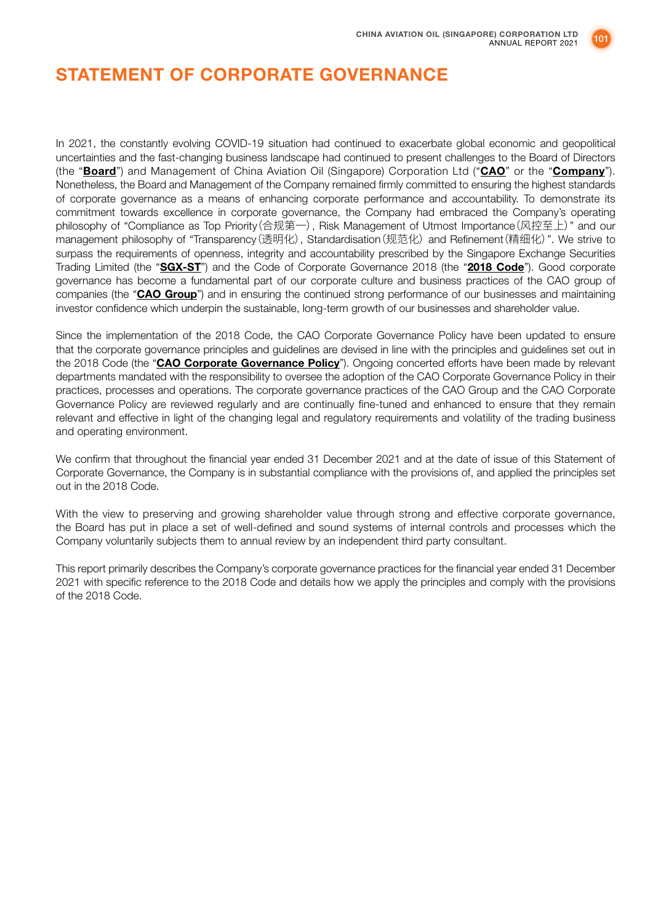In 2021, the constantly evolving COVID-19 situation had continued to exacerbate global economic and geopolitical uncertainties and the fast-changing business landscape had continued to present challenges to the Board of Directors (the "**Board**") and Management of China Aviation Oil (Singapore) Corporation Ltd ("**CAO**" or the "**Company**"). Nonetheless, the Board and Management of the Company remained firmly committed to ensuring the highest standards of corporate governance as a means of enhancing corporate performance and accountability. To demonstrate its commitment towards excellence in corporate governance, the Company had embraced the Company's operating philosophy of "Compliance as Top Priority(合规第一), Risk Management of Utmost Importance(风控至上)" and our management philosophy of "Transparency(透明化), Standardisation(规范化) and Refinement(精细化)". We strive to surpass the requirements of openness, integrity and accountability prescribed by the Singapore Exchange Securities Trading Limited (the "SGX-ST") and the Code of Corporate Governance 2018 (the "2018 Code"). Good corporate governance has become a fundamental part of our corporate culture and business practices of the CAO group of companies (the "CAO Group") and in ensuring the continued strong performance of our businesses and maintaining investor confidence which underpin the sustainable, long-term growth of our businesses and shareholder value.

Since the implementation of the 2018 Code, the CAO Corporate Governance Policy have been updated to ensure that the corporate governance principles and guidelines are devised in line with the principles and guidelines set out in the 2018 Code (the "CAO Corporate Governance Policy"). Ongoing concerted efforts have been made by relevant departments mandated with the responsibility to oversee the adoption of the CAO Corporate Governance Policy in their practices, processes and operations. The corporate governance practices of the CAO Group and the CAO Corporate Governance Policy are reviewed regularly and are continually fine-tuned and enhanced to ensure that they remain relevant and effective in light of the changing legal and regulatory requirements and volatility of the trading business and operating environment.

We confirm that throughout the financial year ended 31 December 2021 and at the date of issue of this Statement of Corporate Governance, the Company is in substantial compliance with the provisions of, and applied the principles set out in the 2018 Code.

With the view to preserving and growing shareholder value through strong and effective corporate governance, the Board has put in place a set of well-defined and sound systems of internal controls and processes which the Company voluntarily subjects them to annual review by an independent third party consultant.

This report primarily describes the Company's corporate governance practices for the financial year ended 31 December 2021 with specific reference to the 2018 Code and details how we apply the principles and comply with the provisions of the 2018 Code.

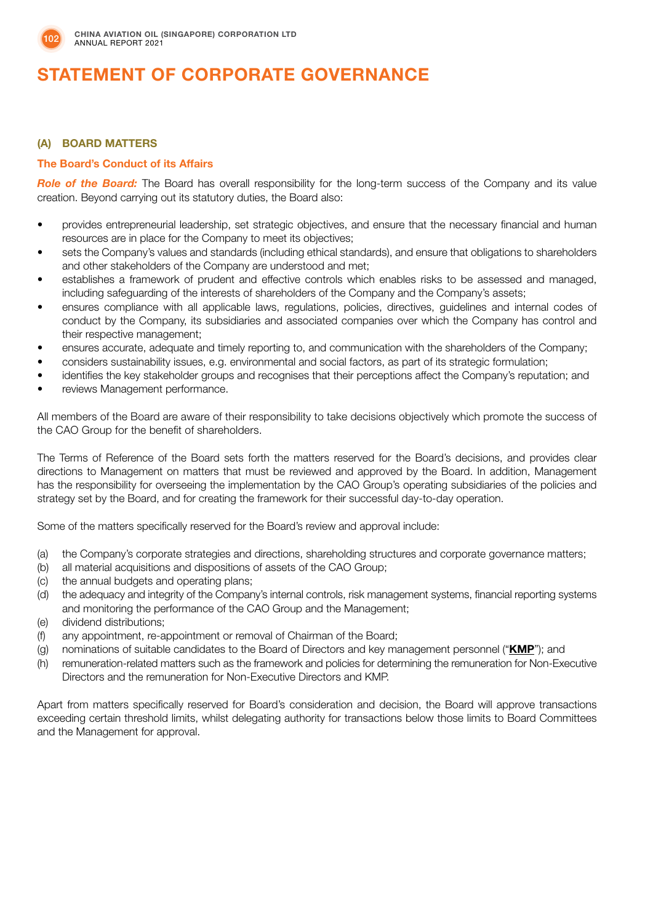

### (A) BOARD MATTERS

### The Board's Conduct of its Affairs

**Role of the Board:** The Board has overall responsibility for the long-term success of the Company and its value creation. Beyond carrying out its statutory duties, the Board also:

- provides entrepreneurial leadership, set strategic objectives, and ensure that the necessary financial and human resources are in place for the Company to meet its objectives;
- sets the Company's values and standards (including ethical standards), and ensure that obligations to shareholders and other stakeholders of the Company are understood and met;
- establishes a framework of prudent and effective controls which enables risks to be assessed and managed, including safeguarding of the interests of shareholders of the Company and the Company's assets;
- ensures compliance with all applicable laws, regulations, policies, directives, guidelines and internal codes of conduct by the Company, its subsidiaries and associated companies over which the Company has control and their respective management;
- ensures accurate, adequate and timely reporting to, and communication with the shareholders of the Company;
- considers sustainability issues, e.g. environmental and social factors, as part of its strategic formulation;
- identifies the key stakeholder groups and recognises that their perceptions affect the Company's reputation; and
- reviews Management performance.

All members of the Board are aware of their responsibility to take decisions objectively which promote the success of the CAO Group for the benefit of shareholders.

The Terms of Reference of the Board sets forth the matters reserved for the Board's decisions, and provides clear directions to Management on matters that must be reviewed and approved by the Board. In addition, Management has the responsibility for overseeing the implementation by the CAO Group's operating subsidiaries of the policies and strategy set by the Board, and for creating the framework for their successful day-to-day operation.

Some of the matters specifically reserved for the Board's review and approval include:

- (a) the Company's corporate strategies and directions, shareholding structures and corporate governance matters;
- (b) all material acquisitions and dispositions of assets of the CAO Group;
- (c) the annual budgets and operating plans;
- (d) the adequacy and integrity of the Company's internal controls, risk management systems, financial reporting systems and monitoring the performance of the CAO Group and the Management;
- (e) dividend distributions;
- (f) any appointment, re-appointment or removal of Chairman of the Board;
- (g) nominations of suitable candidates to the Board of Directors and key management personnel (" $KMP$ "); and
- (h) remuneration-related matters such as the framework and policies for determining the remuneration for Non-Executive Directors and the remuneration for Non-Executive Directors and KMP.

Apart from matters specifically reserved for Board's consideration and decision, the Board will approve transactions exceeding certain threshold limits, whilst delegating authority for transactions below those limits to Board Committees and the Management for approval.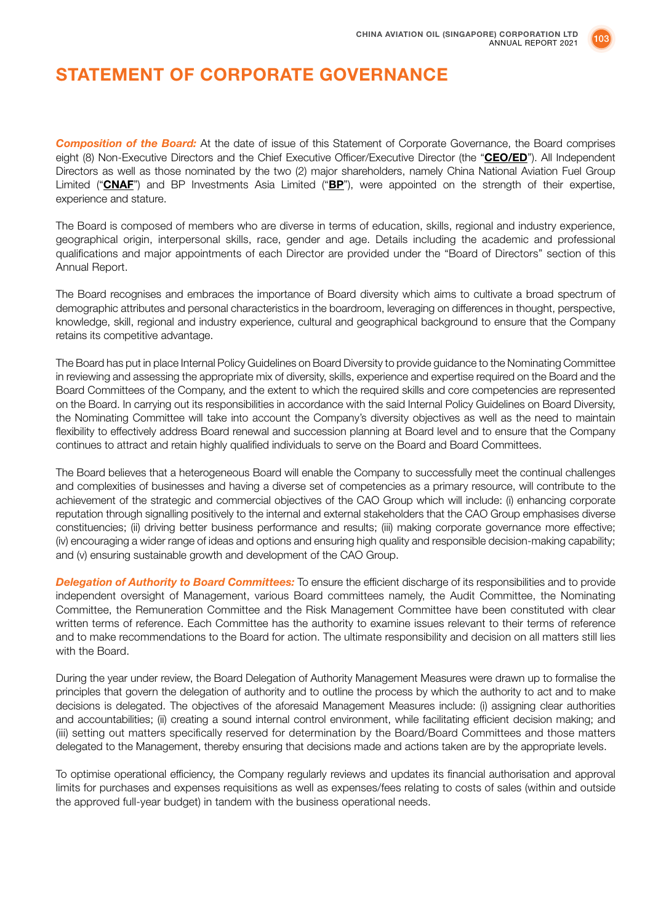

**Composition of the Board:** At the date of issue of this Statement of Corporate Governance, the Board comprises eight (8) Non-Executive Directors and the Chief Executive Officer/Executive Director (the "CEO/ED"). All Independent Directors as well as those nominated by the two (2) major shareholders, namely China National Aviation Fuel Group Limited ("CNAF") and BP Investments Asia Limited ("BP"), were appointed on the strength of their expertise, experience and stature.

The Board is composed of members who are diverse in terms of education, skills, regional and industry experience, geographical origin, interpersonal skills, race, gender and age. Details including the academic and professional qualifications and major appointments of each Director are provided under the "Board of Directors" section of this Annual Report.

The Board recognises and embraces the importance of Board diversity which aims to cultivate a broad spectrum of demographic attributes and personal characteristics in the boardroom, leveraging on differences in thought, perspective, knowledge, skill, regional and industry experience, cultural and geographical background to ensure that the Company retains its competitive advantage.

The Board has put in place Internal Policy Guidelines on Board Diversity to provide guidance to the Nominating Committee in reviewing and assessing the appropriate mix of diversity, skills, experience and expertise required on the Board and the Board Committees of the Company, and the extent to which the required skills and core competencies are represented on the Board. In carrying out its responsibilities in accordance with the said Internal Policy Guidelines on Board Diversity, the Nominating Committee will take into account the Company's diversity objectives as well as the need to maintain flexibility to effectively address Board renewal and succession planning at Board level and to ensure that the Company continues to attract and retain highly qualified individuals to serve on the Board and Board Committees.

The Board believes that a heterogeneous Board will enable the Company to successfully meet the continual challenges and complexities of businesses and having a diverse set of competencies as a primary resource, will contribute to the achievement of the strategic and commercial objectives of the CAO Group which will include: (i) enhancing corporate reputation through signalling positively to the internal and external stakeholders that the CAO Group emphasises diverse constituencies; (ii) driving better business performance and results; (iii) making corporate governance more effective; (iv) encouraging a wider range of ideas and options and ensuring high quality and responsible decision-making capability; and (v) ensuring sustainable growth and development of the CAO Group.

**Delegation of Authority to Board Committees:** To ensure the efficient discharge of its responsibilities and to provide independent oversight of Management, various Board committees namely, the Audit Committee, the Nominating Committee, the Remuneration Committee and the Risk Management Committee have been constituted with clear written terms of reference. Each Committee has the authority to examine issues relevant to their terms of reference and to make recommendations to the Board for action. The ultimate responsibility and decision on all matters still lies with the Board.

During the year under review, the Board Delegation of Authority Management Measures were drawn up to formalise the principles that govern the delegation of authority and to outline the process by which the authority to act and to make decisions is delegated. The objectives of the aforesaid Management Measures include: (i) assigning clear authorities and accountabilities; (ii) creating a sound internal control environment, while facilitating efficient decision making; and (iii) setting out matters specifically reserved for determination by the Board/Board Committees and those matters delegated to the Management, thereby ensuring that decisions made and actions taken are by the appropriate levels.

To optimise operational efficiency, the Company regularly reviews and updates its financial authorisation and approval limits for purchases and expenses requisitions as well as expenses/fees relating to costs of sales (within and outside the approved full-year budget) in tandem with the business operational needs.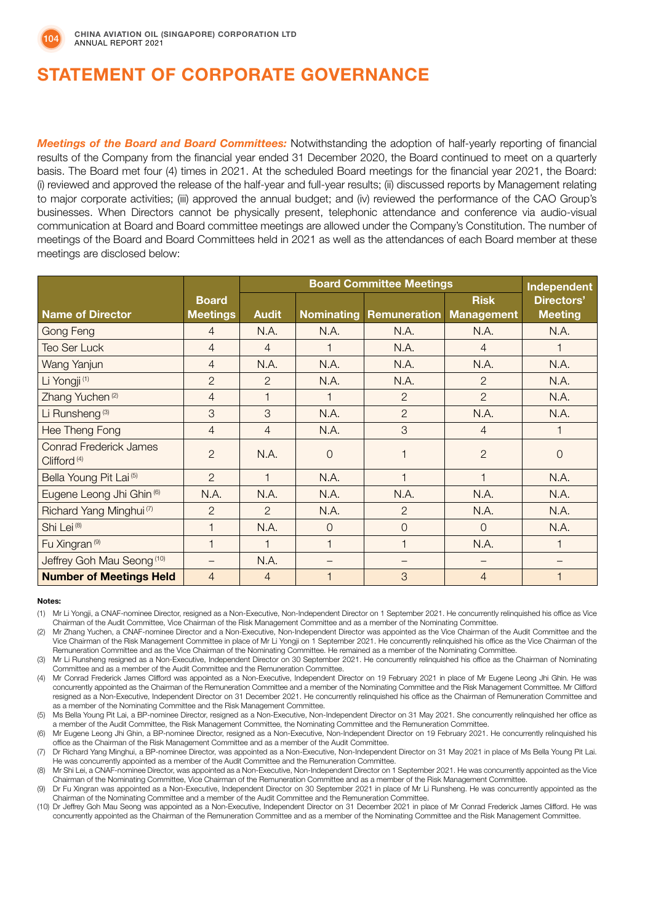

*Meetings of the Board and Board Committees:* Notwithstanding the adoption of half-yearly reporting of financial results of the Company from the financial year ended 31 December 2020, the Board continued to meet on a quarterly basis. The Board met four (4) times in 2021. At the scheduled Board meetings for the financial year 2021, the Board: (i) reviewed and approved the release of the half-year and full-year results; (ii) discussed reports by Management relating to major corporate activities; (iii) approved the annual budget; and (iv) reviewed the performance of the CAO Group's businesses. When Directors cannot be physically present, telephonic attendance and conference via audio-visual communication at Board and Board committee meetings are allowed under the Company's Constitution. The number of meetings of the Board and Board Committees held in 2021 as well as the attendances of each Board member at these meetings are disclosed below:

|                                                          |                                 |                         | <b>Independent</b> |                                           |                |                              |
|----------------------------------------------------------|---------------------------------|-------------------------|--------------------|-------------------------------------------|----------------|------------------------------|
| <b>Name of Director</b>                                  | <b>Board</b><br><b>Meetings</b> | <b>Audit</b>            |                    | <b>Nominating Remuneration Management</b> | <b>Risk</b>    | Directors'<br><b>Meeting</b> |
| <b>Gong Feng</b>                                         | $\overline{4}$                  | N.A.                    | N.A.               | N.A.                                      | N.A.           | N.A.                         |
| <b>Teo Ser Luck</b>                                      | 4                               | $\overline{4}$          |                    | N.A.                                      | $\overline{4}$ |                              |
| Wang Yanjun                                              | 4                               | N.A.                    | N.A.               | N.A.                                      | N.A.           | N.A.                         |
| Li Yongji <sup>(1)</sup>                                 | $\overline{2}$                  | $\overline{2}$          | N.A.               | N.A.                                      | $\overline{2}$ | N.A.                         |
| Zhang Yuchen <sup>(2)</sup>                              | 4                               | $\overline{1}$          |                    | $\overline{2}$                            | $\overline{2}$ | N.A.                         |
| Li Runsheng <sup>(3)</sup>                               | 3                               | 3                       | N.A.               | $\overline{2}$                            | N.A.           | N.A.                         |
| <b>Hee Theng Fong</b>                                    | 4                               | $\overline{4}$          | N.A.               | 3                                         | $\overline{4}$ |                              |
| <b>Conrad Frederick James</b><br>Clifford <sup>(4)</sup> | $\overline{2}$                  | N.A.                    | $\Omega$           |                                           | $\overline{2}$ | $\Omega$                     |
| Bella Young Pit Lai <sup>(5)</sup>                       | $\overline{2}$                  | $\overline{1}$          | N.A.               |                                           | $\mathbf 1$    | N.A.                         |
| Eugene Leong Jhi Ghin (6)                                | N.A.                            | N.A.                    | N.A.               | N.A.                                      | N.A.           | N.A.                         |
| Richard Yang Minghui <sup>(7)</sup>                      | $\mathcal{P}$                   | $\mathcal{P}$           | N.A.               | $\mathcal{P}$                             | N.A.           | N.A.                         |
| Shi Lei <sup>(8)</sup>                                   | $\mathbf 1$                     | N.A.                    | $\Omega$           | $\Omega$                                  | $\Omega$       | N.A.                         |
| Fu Xingran <sup>(9)</sup>                                | 1                               | $\overline{\mathbf{1}}$ |                    |                                           | N.A.           |                              |
| Jeffrey Goh Mau Seong (10)                               |                                 | N.A.                    |                    |                                           |                |                              |
| <b>Number of Meetings Held</b>                           | $\overline{4}$                  | $\overline{4}$          |                    | 3                                         | $\overline{4}$ |                              |

#### Notes:

(1) Mr Li Yongji, a CNAF-nominee Director, resigned as a Non-Executive, Non-Independent Director on 1 September 2021. He concurrently relinquished his office as Vice Chairman of the Audit Committee, Vice Chairman of the Risk Management Committee and as a member of the Nominating Committee.

(2) Mr Zhang Yuchen, a CNAF-nominee Director and a Non-Executive, Non-Independent Director was appointed as the Vice Chairman of the Audit Committee and the Vice Chairman of the Risk Management Committee in place of Mr Li Yongji on 1 September 2021. He concurrently relinquished his office as the Vice Chairman of the Remuneration Committee and as the Vice Chairman of the Nominating Committee. He remained as a member of the Nominating Committee.

(3) Mr Li Runsheng resigned as a Non-Executive, Independent Director on 30 September 2021. He concurrently relinquished his office as the Chairman of Nominating Committee and as a member of the Audit Committee and the Remuneration Committee.

(4) Mr Conrad Frederick James Clifford was appointed as a Non-Executive, Independent Director on 19 February 2021 in place of Mr Eugene Leong Jhi Ghin. He was concurrently appointed as the Chairman of the Remuneration Committee and a member of the Nominating Committee and the Risk Management Committee. Mr Clifford resigned as a Non-Executive, Independent Director on 31 December 2021. He concurrently relinquished his office as the Chairman of Remuneration Committee and as a member of the Nominating Committee and the Risk Management Committee.

(5) Ms Bella Young Pit Lai, a BP-nominee Director, resigned as a Non-Executive, Non-Independent Director on 31 May 2021. She concurrently relinquished her office as a member of the Audit Committee, the Risk Management Committee, the Nominating Committee and the Remuneration Committee.

(6) Mr Eugene Leong Jhi Ghin, a BP-nominee Director, resigned as a Non-Executive, Non-Independent Director on 19 February 2021. He concurrently relinquished his office as the Chairman of the Risk Management Committee and as a member of the Audit Committee.

(7) Dr Richard Yang Minghui, a BP-nominee Director, was appointed as a Non-Executive, Non-Independent Director on 31 May 2021 in place of Ms Bella Young Pit Lai. He was concurrently appointed as a member of the Audit Committee and the Remuneration Committee.

(8) Mr Shi Lei, a CNAF-nominee Director, was appointed as a Non-Executive, Non-Independent Director on 1 September 2021. He was concurrently appointed as the Vice Chairman of the Nominating Committee, Vice Chairman of the Remuneration Committee and as a member of the Risk Management Committee.

(9) Dr Fu Xingran was appointed as a Non-Executive, Independent Director on 30 September 2021 in place of Mr Li Runsheng. He was concurrently appointed as the Chairman of the Nominating Committee and a member of the Audit Committee and the Remuneration Committee.

(10) Dr Jeffrey Goh Mau Seong was appointed as a Non-Executive, Independent Director on 31 December 2021 in place of Mr Conrad Frederick James Clifford. He was concurrently appointed as the Chairman of the Remuneration Committee and as a member of the Nominating Committee and the Risk Management Committee.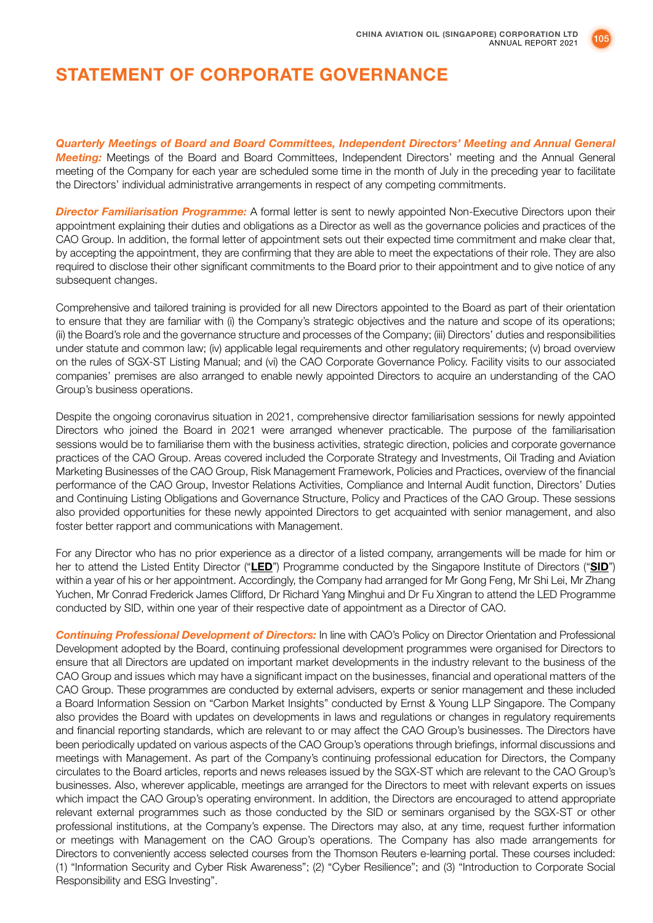

*Quarterly Meetings of Board and Board Committees, Independent Directors' Meeting and Annual General Meeting:* Meetings of the Board and Board Committees, Independent Directors' meeting and the Annual General meeting of the Company for each year are scheduled some time in the month of July in the preceding year to facilitate the Directors' individual administrative arrangements in respect of any competing commitments.

*Director Familiarisation Programme:* A formal letter is sent to newly appointed Non-Executive Directors upon their appointment explaining their duties and obligations as a Director as well as the governance policies and practices of the CAO Group. In addition, the formal letter of appointment sets out their expected time commitment and make clear that, by accepting the appointment, they are confirming that they are able to meet the expectations of their role. They are also required to disclose their other significant commitments to the Board prior to their appointment and to give notice of any subsequent changes.

Comprehensive and tailored training is provided for all new Directors appointed to the Board as part of their orientation to ensure that they are familiar with (i) the Company's strategic objectives and the nature and scope of its operations; (ii) the Board's role and the governance structure and processes of the Company; (iii) Directors' duties and responsibilities under statute and common law; (iv) applicable legal requirements and other regulatory requirements; (v) broad overview on the rules of SGX-ST Listing Manual; and (vi) the CAO Corporate Governance Policy. Facility visits to our associated companies' premises are also arranged to enable newly appointed Directors to acquire an understanding of the CAO Group's business operations.

Despite the ongoing coronavirus situation in 2021, comprehensive director familiarisation sessions for newly appointed Directors who joined the Board in 2021 were arranged whenever practicable. The purpose of the familiarisation sessions would be to familiarise them with the business activities, strategic direction, policies and corporate governance practices of the CAO Group. Areas covered included the Corporate Strategy and Investments, Oil Trading and Aviation Marketing Businesses of the CAO Group, Risk Management Framework, Policies and Practices, overview of the financial performance of the CAO Group, Investor Relations Activities, Compliance and Internal Audit function, Directors' Duties and Continuing Listing Obligations and Governance Structure, Policy and Practices of the CAO Group. These sessions also provided opportunities for these newly appointed Directors to get acquainted with senior management, and also foster better rapport and communications with Management.

For any Director who has no prior experience as a director of a listed company, arrangements will be made for him or her to attend the Listed Entity Director ("LED") Programme conducted by the Singapore Institute of Directors ("SID") within a year of his or her appointment. Accordingly, the Company had arranged for Mr Gong Feng, Mr Shi Lei, Mr Zhang Yuchen, Mr Conrad Frederick James Clifford, Dr Richard Yang Minghui and Dr Fu Xingran to attend the LED Programme conducted by SID, within one year of their respective date of appointment as a Director of CAO.

*Continuing Professional Development of Directors:* In line with CAO's Policy on Director Orientation and Professional Development adopted by the Board, continuing professional development programmes were organised for Directors to ensure that all Directors are updated on important market developments in the industry relevant to the business of the CAO Group and issues which may have a significant impact on the businesses, financial and operational matters of the CAO Group. These programmes are conducted by external advisers, experts or senior management and these included a Board Information Session on "Carbon Market Insights" conducted by Ernst & Young LLP Singapore. The Company also provides the Board with updates on developments in laws and regulations or changes in regulatory requirements and financial reporting standards, which are relevant to or may affect the CAO Group's businesses. The Directors have been periodically updated on various aspects of the CAO Group's operations through briefings, informal discussions and meetings with Management. As part of the Company's continuing professional education for Directors, the Company circulates to the Board articles, reports and news releases issued by the SGX-ST which are relevant to the CAO Group's businesses. Also, wherever applicable, meetings are arranged for the Directors to meet with relevant experts on issues which impact the CAO Group's operating environment. In addition, the Directors are encouraged to attend appropriate relevant external programmes such as those conducted by the SID or seminars organised by the SGX-ST or other professional institutions, at the Company's expense. The Directors may also, at any time, request further information or meetings with Management on the CAO Group's operations. The Company has also made arrangements for Directors to conveniently access selected courses from the Thomson Reuters e-learning portal. These courses included: (1) "Information Security and Cyber Risk Awareness"; (2) "Cyber Resilience"; and (3) "Introduction to Corporate Social Responsibility and ESG Investing".

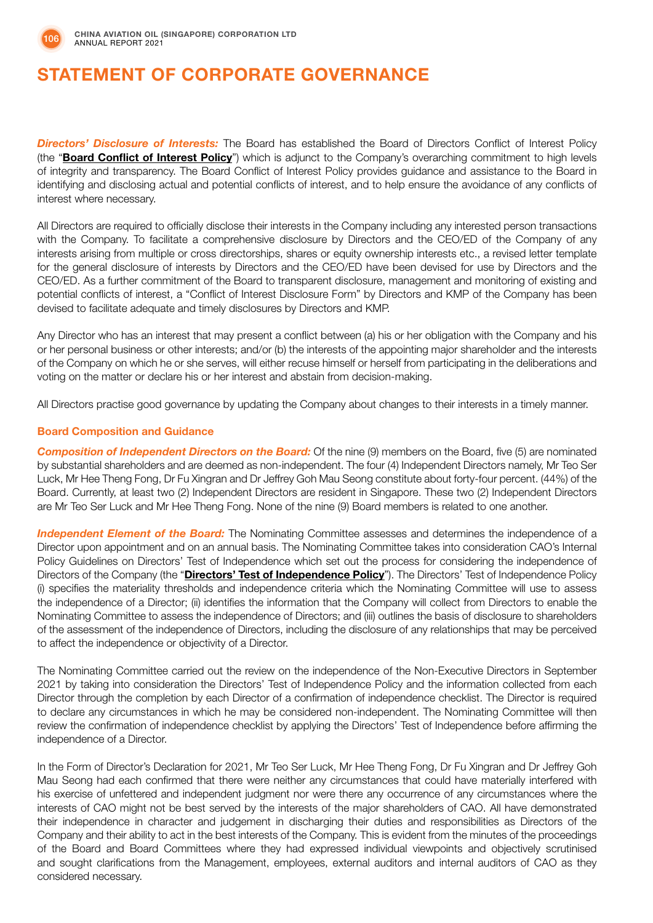

*Directors' Disclosure of Interests:* The Board has established the Board of Directors Conflict of Interest Policy (the "Board Conflict of Interest Policy") which is adjunct to the Company's overarching commitment to high levels of integrity and transparency. The Board Conflict of Interest Policy provides guidance and assistance to the Board in identifying and disclosing actual and potential conflicts of interest, and to help ensure the avoidance of any conflicts of interest where necessary.

All Directors are required to officially disclose their interests in the Company including any interested person transactions with the Company. To facilitate a comprehensive disclosure by Directors and the CEO/ED of the Company of any interests arising from multiple or cross directorships, shares or equity ownership interests etc., a revised letter template for the general disclosure of interests by Directors and the CEO/ED have been devised for use by Directors and the CEO/ED. As a further commitment of the Board to transparent disclosure, management and monitoring of existing and potential conflicts of interest, a "Conflict of Interest Disclosure Form" by Directors and KMP of the Company has been devised to facilitate adequate and timely disclosures by Directors and KMP.

Any Director who has an interest that may present a conflict between (a) his or her obligation with the Company and his or her personal business or other interests; and/or (b) the interests of the appointing major shareholder and the interests of the Company on which he or she serves, will either recuse himself or herself from participating in the deliberations and voting on the matter or declare his or her interest and abstain from decision-making.

All Directors practise good governance by updating the Company about changes to their interests in a timely manner.

### Board Composition and Guidance

**Composition of Independent Directors on the Board:** Of the nine (9) members on the Board, five (5) are nominated by substantial shareholders and are deemed as non-independent. The four (4) Independent Directors namely, Mr Teo Ser Luck, Mr Hee Theng Fong, Dr Fu Xingran and Dr Jeffrey Goh Mau Seong constitute about forty-four percent. (44%) of the Board. Currently, at least two (2) Independent Directors are resident in Singapore. These two (2) Independent Directors are Mr Teo Ser Luck and Mr Hee Theng Fong. None of the nine (9) Board members is related to one another.

**Independent Element of the Board:** The Nominating Committee assesses and determines the independence of a Director upon appointment and on an annual basis. The Nominating Committee takes into consideration CAO's Internal Policy Guidelines on Directors' Test of Independence which set out the process for considering the independence of Directors of the Company (the "Directors' Test of Independence Policy"). The Directors' Test of Independence Policy (i) specifies the materiality thresholds and independence criteria which the Nominating Committee will use to assess the independence of a Director; (ii) identifies the information that the Company will collect from Directors to enable the Nominating Committee to assess the independence of Directors; and (iii) outlines the basis of disclosure to shareholders of the assessment of the independence of Directors, including the disclosure of any relationships that may be perceived to affect the independence or objectivity of a Director.

The Nominating Committee carried out the review on the independence of the Non-Executive Directors in September 2021 by taking into consideration the Directors' Test of Independence Policy and the information collected from each Director through the completion by each Director of a confirmation of independence checklist. The Director is required to declare any circumstances in which he may be considered non-independent. The Nominating Committee will then review the confirmation of independence checklist by applying the Directors' Test of Independence before affirming the independence of a Director.

In the Form of Director's Declaration for 2021, Mr Teo Ser Luck, Mr Hee Theng Fong, Dr Fu Xingran and Dr Jeffrey Goh Mau Seong had each confirmed that there were neither any circumstances that could have materially interfered with his exercise of unfettered and independent judgment nor were there any occurrence of any circumstances where the interests of CAO might not be best served by the interests of the major shareholders of CAO. All have demonstrated their independence in character and judgement in discharging their duties and responsibilities as Directors of the Company and their ability to act in the best interests of the Company. This is evident from the minutes of the proceedings of the Board and Board Committees where they had expressed individual viewpoints and objectively scrutinised and sought clarifications from the Management, employees, external auditors and internal auditors of CAO as they considered necessary.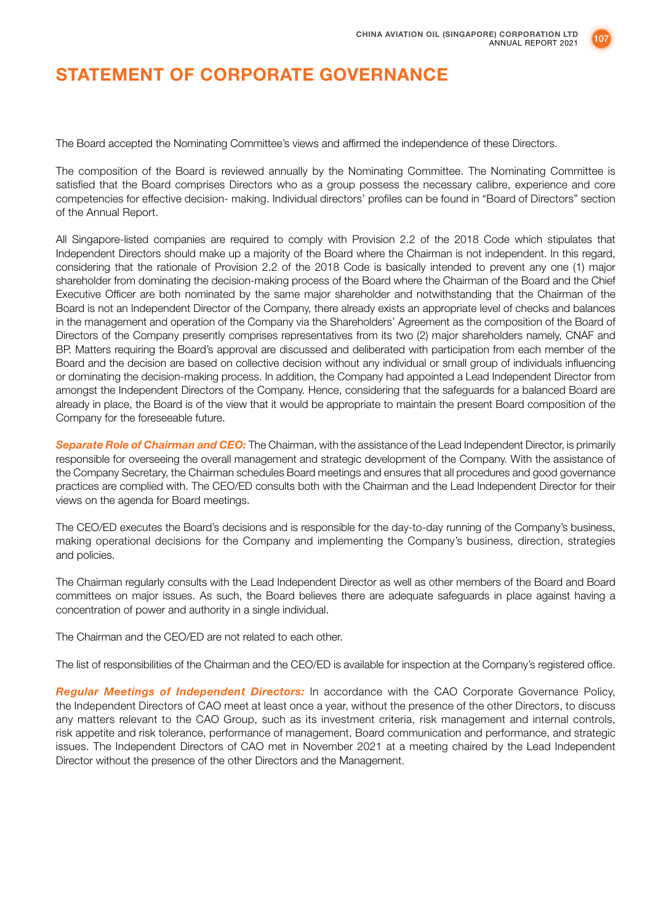

The Board accepted the Nominating Committee's views and affirmed the independence of these Directors.

The composition of the Board is reviewed annually by the Nominating Committee. The Nominating Committee is satisfied that the Board comprises Directors who as a group possess the necessary calibre, experience and core competencies for effective decision- making. Individual directors' profiles can be found in "Board of Directors" section of the Annual Report.

All Singapore-listed companies are required to comply with Provision 2.2 of the 2018 Code which stipulates that Independent Directors should make up a majority of the Board where the Chairman is not independent. In this regard, considering that the rationale of Provision 2.2 of the 2018 Code is basically intended to prevent any one (1) major shareholder from dominating the decision-making process of the Board where the Chairman of the Board and the Chief Executive Officer are both nominated by the same major shareholder and notwithstanding that the Chairman of the Board is not an Independent Director of the Company, there already exists an appropriate level of checks and balances in the management and operation of the Company via the Shareholders' Agreement as the composition of the Board of Directors of the Company presently comprises representatives from its two (2) major shareholders namely, CNAF and BP. Matters requiring the Board's approval are discussed and deliberated with participation from each member of the Board and the decision are based on collective decision without any individual or small group of individuals influencing or dominating the decision-making process. In addition, the Company had appointed a Lead Independent Director from amongst the Independent Directors of the Company. Hence, considering that the safeguards for a balanced Board are already in place, the Board is of the view that it would be appropriate to maintain the present Board composition of the Company for the foreseeable future.

*Separate Role of Chairman and CEO:* The Chairman, with the assistance of the Lead Independent Director, is primarily responsible for overseeing the overall management and strategic development of the Company. With the assistance of the Company Secretary, the Chairman schedules Board meetings and ensures that all procedures and good governance practices are complied with. The CEO/ED consults both with the Chairman and the Lead Independent Director for their views on the agenda for Board meetings.

The CEO/ED executes the Board's decisions and is responsible for the day-to-day running of the Company's business, making operational decisions for the Company and implementing the Company's business, direction, strategies and policies.

The Chairman regularly consults with the Lead Independent Director as well as other members of the Board and Board committees on major issues. As such, the Board believes there are adequate safeguards in place against having a concentration of power and authority in a single individual.

The Chairman and the CEO/ED are not related to each other.

The list of responsibilities of the Chairman and the CEO/ED is available for inspection at the Company's registered office.

*Regular Meetings of Independent Directors:* In accordance with the CAO Corporate Governance Policy, the Independent Directors of CAO meet at least once a year, without the presence of the other Directors, to discuss any matters relevant to the CAO Group, such as its investment criteria, risk management and internal controls, risk appetite and risk tolerance, performance of management, Board communication and performance, and strategic issues. The Independent Directors of CAO met in November 2021 at a meeting chaired by the Lead Independent Director without the presence of the other Directors and the Management.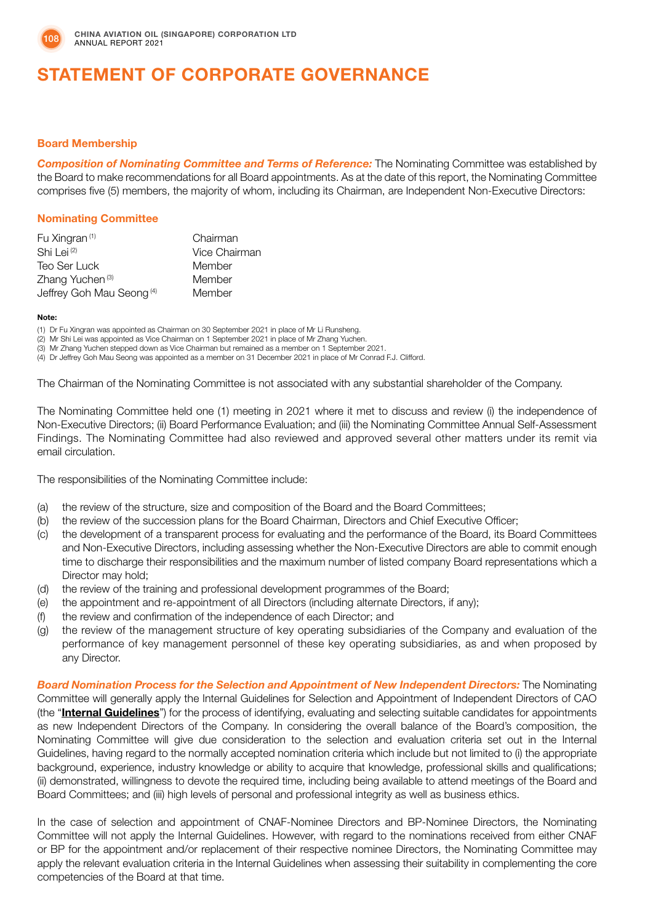

#### Board Membership

*Composition of Nominating Committee and Terms of Reference:* The Nominating Committee was established by the Board to make recommendations for all Board appointments. As at the date of this report, the Nominating Committee comprises five (5) members, the majority of whom, including its Chairman, are Independent Non-Executive Directors:

#### Nominating Committee

| Fu Xingran <sup>(1)</sup>            | Chairman      |
|--------------------------------------|---------------|
| Shi Lei <sup>(2)</sup>               | Vice Chairman |
| Teo Ser Luck                         | Member        |
| Zhang Yuchen <sup>(3)</sup>          | Member        |
| Jeffrey Goh Mau Seong <sup>(4)</sup> | Member        |

#### Note:

(1) Dr Fu Xingran was appointed as Chairman on 30 September 2021 in place of Mr Li Runsheng.

(2) Mr Shi Lei was appointed as Vice Chairman on 1 September 2021 in place of Mr Zhang Yuchen.

(3) Mr Zhang Yuchen stepped down as Vice Chairman but remained as a member on 1 September 2021.

(4) Dr Jeffrey Goh Mau Seong was appointed as a member on 31 December 2021 in place of Mr Conrad F.J. Clifford.

The Chairman of the Nominating Committee is not associated with any substantial shareholder of the Company.

The Nominating Committee held one (1) meeting in 2021 where it met to discuss and review (i) the independence of Non-Executive Directors; (ii) Board Performance Evaluation; and (iii) the Nominating Committee Annual Self-Assessment Findings. The Nominating Committee had also reviewed and approved several other matters under its remit via email circulation.

The responsibilities of the Nominating Committee include:

- (a) the review of the structure, size and composition of the Board and the Board Committees;
- (b) the review of the succession plans for the Board Chairman, Directors and Chief Executive Officer;
- (c) the development of a transparent process for evaluating and the performance of the Board, its Board Committees and Non-Executive Directors, including assessing whether the Non-Executive Directors are able to commit enough time to discharge their responsibilities and the maximum number of listed company Board representations which a Director may hold;
- (d) the review of the training and professional development programmes of the Board;
- (e) the appointment and re-appointment of all Directors (including alternate Directors, if any);
- (f) the review and confirmation of the independence of each Director; and
- (g) the review of the management structure of key operating subsidiaries of the Company and evaluation of the performance of key management personnel of these key operating subsidiaries, as and when proposed by any Director.

*Board Nomination Process for the Selection and Appointment of New Independent Directors:* The Nominating Committee will generally apply the Internal Guidelines for Selection and Appointment of Independent Directors of CAO (the "Internal Guidelines") for the process of identifying, evaluating and selecting suitable candidates for appointments as new Independent Directors of the Company. In considering the overall balance of the Board's composition, the Nominating Committee will give due consideration to the selection and evaluation criteria set out in the Internal Guidelines, having regard to the normally accepted nomination criteria which include but not limited to (i) the appropriate background, experience, industry knowledge or ability to acquire that knowledge, professional skills and qualifications; (ii) demonstrated, willingness to devote the required time, including being available to attend meetings of the Board and Board Committees; and (iii) high levels of personal and professional integrity as well as business ethics.

In the case of selection and appointment of CNAF-Nominee Directors and BP-Nominee Directors, the Nominating Committee will not apply the Internal Guidelines. However, with regard to the nominations received from either CNAF or BP for the appointment and/or replacement of their respective nominee Directors, the Nominating Committee may apply the relevant evaluation criteria in the Internal Guidelines when assessing their suitability in complementing the core competencies of the Board at that time.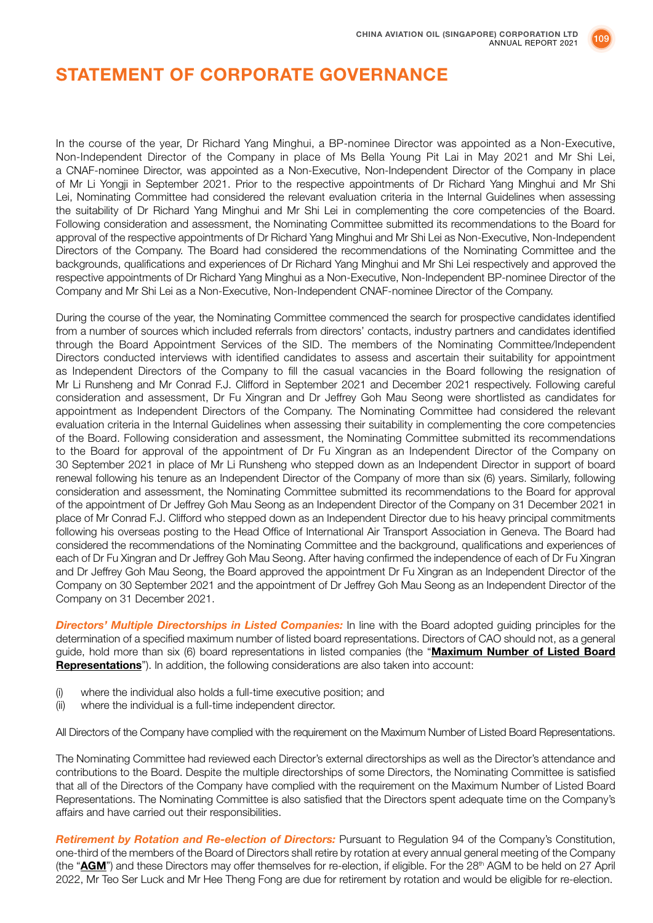

In the course of the year, Dr Richard Yang Minghui, a BP-nominee Director was appointed as a Non-Executive, Non-Independent Director of the Company in place of Ms Bella Young Pit Lai in May 2021 and Mr Shi Lei, a CNAF-nominee Director, was appointed as a Non-Executive, Non-Independent Director of the Company in place of Mr Li Yongji in September 2021. Prior to the respective appointments of Dr Richard Yang Minghui and Mr Shi Lei, Nominating Committee had considered the relevant evaluation criteria in the Internal Guidelines when assessing the suitability of Dr Richard Yang Minghui and Mr Shi Lei in complementing the core competencies of the Board. Following consideration and assessment, the Nominating Committee submitted its recommendations to the Board for approval of the respective appointments of Dr Richard Yang Minghui and Mr Shi Lei as Non-Executive, Non-Independent Directors of the Company. The Board had considered the recommendations of the Nominating Committee and the backgrounds, qualifications and experiences of Dr Richard Yang Minghui and Mr Shi Lei respectively and approved the respective appointments of Dr Richard Yang Minghui as a Non-Executive, Non-Independent BP-nominee Director of the Company and Mr Shi Lei as a Non-Executive, Non-Independent CNAF-nominee Director of the Company.

During the course of the year, the Nominating Committee commenced the search for prospective candidates identified from a number of sources which included referrals from directors' contacts, industry partners and candidates identified through the Board Appointment Services of the SID. The members of the Nominating Committee/Independent Directors conducted interviews with identified candidates to assess and ascertain their suitability for appointment as Independent Directors of the Company to fill the casual vacancies in the Board following the resignation of Mr Li Runsheng and Mr Conrad F.J. Clifford in September 2021 and December 2021 respectively. Following careful consideration and assessment, Dr Fu Xingran and Dr Jeffrey Goh Mau Seong were shortlisted as candidates for appointment as Independent Directors of the Company. The Nominating Committee had considered the relevant evaluation criteria in the Internal Guidelines when assessing their suitability in complementing the core competencies of the Board. Following consideration and assessment, the Nominating Committee submitted its recommendations to the Board for approval of the appointment of Dr Fu Xingran as an Independent Director of the Company on 30 September 2021 in place of Mr Li Runsheng who stepped down as an Independent Director in support of board renewal following his tenure as an Independent Director of the Company of more than six (6) years. Similarly, following consideration and assessment, the Nominating Committee submitted its recommendations to the Board for approval of the appointment of Dr Jeffrey Goh Mau Seong as an Independent Director of the Company on 31 December 2021 in place of Mr Conrad F.J. Clifford who stepped down as an Independent Director due to his heavy principal commitments following his overseas posting to the Head Office of International Air Transport Association in Geneva. The Board had considered the recommendations of the Nominating Committee and the background, qualifications and experiences of each of Dr Fu Xingran and Dr Jeffrey Goh Mau Seong. After having confirmed the independence of each of Dr Fu Xingran and Dr Jeffrey Goh Mau Seong, the Board approved the appointment Dr Fu Xingran as an Independent Director of the Company on 30 September 2021 and the appointment of Dr Jeffrey Goh Mau Seong as an Independent Director of the Company on 31 December 2021.

*Directors' Multiple Directorships in Listed Companies:* In line with the Board adopted guiding principles for the determination of a specified maximum number of listed board representations. Directors of CAO should not, as a general guide, hold more than six (6) board representations in listed companies (the "Maximum Number of Listed Board Representations"). In addition, the following considerations are also taken into account:

- (i) where the individual also holds a full-time executive position; and
- (ii) where the individual is a full-time independent director.

All Directors of the Company have complied with the requirement on the Maximum Number of Listed Board Representations.

The Nominating Committee had reviewed each Director's external directorships as well as the Director's attendance and contributions to the Board. Despite the multiple directorships of some Directors, the Nominating Committee is satisfied that all of the Directors of the Company have complied with the requirement on the Maximum Number of Listed Board Representations. The Nominating Committee is also satisfied that the Directors spent adequate time on the Company's affairs and have carried out their responsibilities.

*Retirement by Rotation and Re-election of Directors:* Pursuant to Regulation 94 of the Company's Constitution, one-third of the members of the Board of Directors shall retire by rotation at every annual general meeting of the Company (the "AGM") and these Directors may offer themselves for re-election, if eligible. For the 28<sup>th</sup> AGM to be held on 27 April 2022, Mr Teo Ser Luck and Mr Hee Theng Fong are due for retirement by rotation and would be eligible for re-election.

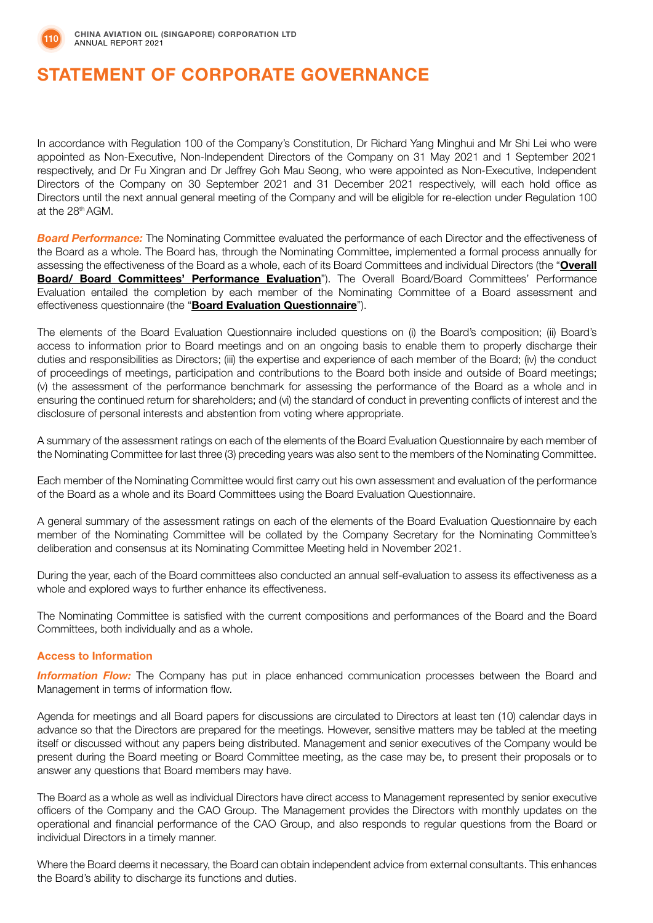

In accordance with Regulation 100 of the Company's Constitution, Dr Richard Yang Minghui and Mr Shi Lei who were appointed as Non-Executive, Non-Independent Directors of the Company on 31 May 2021 and 1 September 2021 respectively, and Dr Fu Xingran and Dr Jeffrey Goh Mau Seong, who were appointed as Non-Executive, Independent Directors of the Company on 30 September 2021 and 31 December 2021 respectively, will each hold office as Directors until the next annual general meeting of the Company and will be eligible for re-election under Regulation 100 at the 28th AGM.

*Board Performance:* The Nominating Committee evaluated the performance of each Director and the effectiveness of the Board as a whole. The Board has, through the Nominating Committee, implemented a formal process annually for assessing the effectiveness of the Board as a whole, each of its Board Committees and individual Directors (the "Overall Board/ Board Committees' Performance Evaluation"). The Overall Board/Board Committees' Performance Evaluation entailed the completion by each member of the Nominating Committee of a Board assessment and effectiveness questionnaire (the "Board Evaluation Questionnaire").

The elements of the Board Evaluation Questionnaire included questions on (i) the Board's composition; (ii) Board's access to information prior to Board meetings and on an ongoing basis to enable them to properly discharge their duties and responsibilities as Directors; (iii) the expertise and experience of each member of the Board; (iv) the conduct of proceedings of meetings, participation and contributions to the Board both inside and outside of Board meetings; (v) the assessment of the performance benchmark for assessing the performance of the Board as a whole and in ensuring the continued return for shareholders; and (vi) the standard of conduct in preventing conflicts of interest and the disclosure of personal interests and abstention from voting where appropriate.

A summary of the assessment ratings on each of the elements of the Board Evaluation Questionnaire by each member of the Nominating Committee for last three (3) preceding years was also sent to the members of the Nominating Committee.

Each member of the Nominating Committee would first carry out his own assessment and evaluation of the performance of the Board as a whole and its Board Committees using the Board Evaluation Questionnaire.

A general summary of the assessment ratings on each of the elements of the Board Evaluation Questionnaire by each member of the Nominating Committee will be collated by the Company Secretary for the Nominating Committee's deliberation and consensus at its Nominating Committee Meeting held in November 2021.

During the year, each of the Board committees also conducted an annual self-evaluation to assess its effectiveness as a whole and explored ways to further enhance its effectiveness.

The Nominating Committee is satisfied with the current compositions and performances of the Board and the Board Committees, both individually and as a whole.

#### Access to Information

**Information Flow:** The Company has put in place enhanced communication processes between the Board and Management in terms of information flow.

Agenda for meetings and all Board papers for discussions are circulated to Directors at least ten (10) calendar days in advance so that the Directors are prepared for the meetings. However, sensitive matters may be tabled at the meeting itself or discussed without any papers being distributed. Management and senior executives of the Company would be present during the Board meeting or Board Committee meeting, as the case may be, to present their proposals or to answer any questions that Board members may have.

The Board as a whole as well as individual Directors have direct access to Management represented by senior executive officers of the Company and the CAO Group. The Management provides the Directors with monthly updates on the operational and financial performance of the CAO Group, and also responds to regular questions from the Board or individual Directors in a timely manner.

Where the Board deems it necessary, the Board can obtain independent advice from external consultants. This enhances the Board's ability to discharge its functions and duties.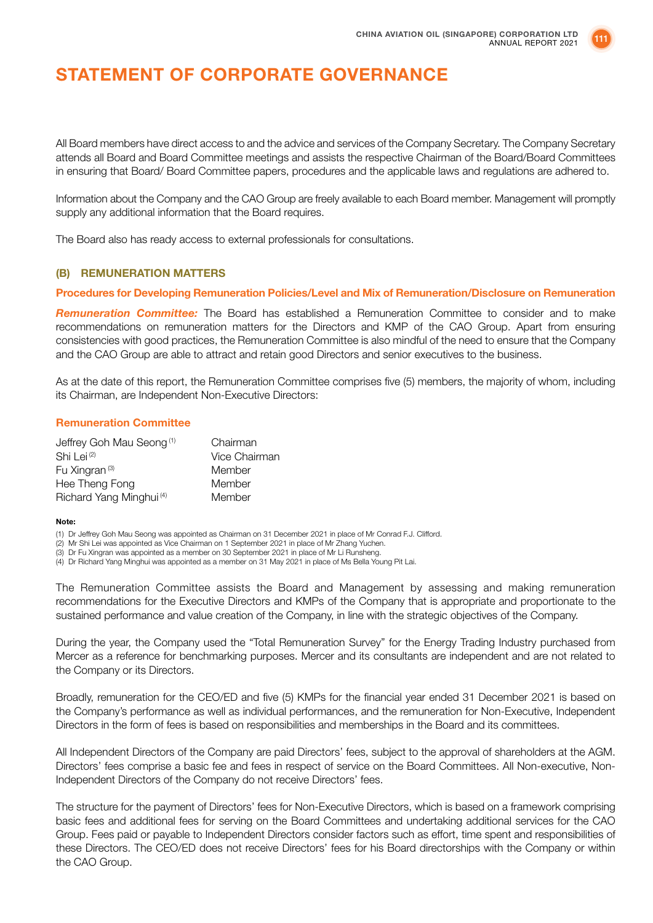

All Board members have direct access to and the advice and services of the Company Secretary. The Company Secretary attends all Board and Board Committee meetings and assists the respective Chairman of the Board/Board Committees in ensuring that Board/ Board Committee papers, procedures and the applicable laws and regulations are adhered to.

Information about the Company and the CAO Group are freely available to each Board member. Management will promptly supply any additional information that the Board requires.

The Board also has ready access to external professionals for consultations.

### (B) REMUNERATION MATTERS

### Procedures for Developing Remuneration Policies/Level and Mix of Remuneration/Disclosure on Remuneration

*Remuneration Committee:* The Board has established a Remuneration Committee to consider and to make recommendations on remuneration matters for the Directors and KMP of the CAO Group. Apart from ensuring consistencies with good practices, the Remuneration Committee is also mindful of the need to ensure that the Company and the CAO Group are able to attract and retain good Directors and senior executives to the business.

As at the date of this report, the Remuneration Committee comprises five (5) members, the majority of whom, including its Chairman, are Independent Non-Executive Directors:

#### Remuneration Committee

| Jeffrey Goh Mau Seong <sup>(1)</sup> | Chairman      |
|--------------------------------------|---------------|
| Shi Lei <sup>(2)</sup>               | Vice Chairman |
| Fu Xingran <sup>(3)</sup>            | Member        |
| Hee Theng Fong                       | Member        |
| Richard Yang Minghui <sup>(4)</sup>  | Member        |

#### Note:

(1) Dr Jeffrey Goh Mau Seong was appointed as Chairman on 31 December 2021 in place of Mr Conrad F.J. Clifford.

(2) Mr Shi Lei was appointed as Vice Chairman on 1 September 2021 in place of Mr Zhang Yuchen.

(3) Dr Fu Xingran was appointed as a member on 30 September 2021 in place of Mr Li Runsheng.

(4) Dr Richard Yang Minghui was appointed as a member on 31 May 2021 in place of Ms Bella Young Pit Lai.

The Remuneration Committee assists the Board and Management by assessing and making remuneration recommendations for the Executive Directors and KMPs of the Company that is appropriate and proportionate to the sustained performance and value creation of the Company, in line with the strategic objectives of the Company.

During the year, the Company used the "Total Remuneration Survey" for the Energy Trading Industry purchased from Mercer as a reference for benchmarking purposes. Mercer and its consultants are independent and are not related to the Company or its Directors.

Broadly, remuneration for the CEO/ED and five (5) KMPs for the financial year ended 31 December 2021 is based on the Company's performance as well as individual performances, and the remuneration for Non-Executive, Independent Directors in the form of fees is based on responsibilities and memberships in the Board and its committees.

All Independent Directors of the Company are paid Directors' fees, subject to the approval of shareholders at the AGM. Directors' fees comprise a basic fee and fees in respect of service on the Board Committees. All Non-executive, Non-Independent Directors of the Company do not receive Directors' fees.

The structure for the payment of Directors' fees for Non-Executive Directors, which is based on a framework comprising basic fees and additional fees for serving on the Board Committees and undertaking additional services for the CAO Group. Fees paid or payable to Independent Directors consider factors such as effort, time spent and responsibilities of these Directors. The CEO/ED does not receive Directors' fees for his Board directorships with the Company or within the CAO Group.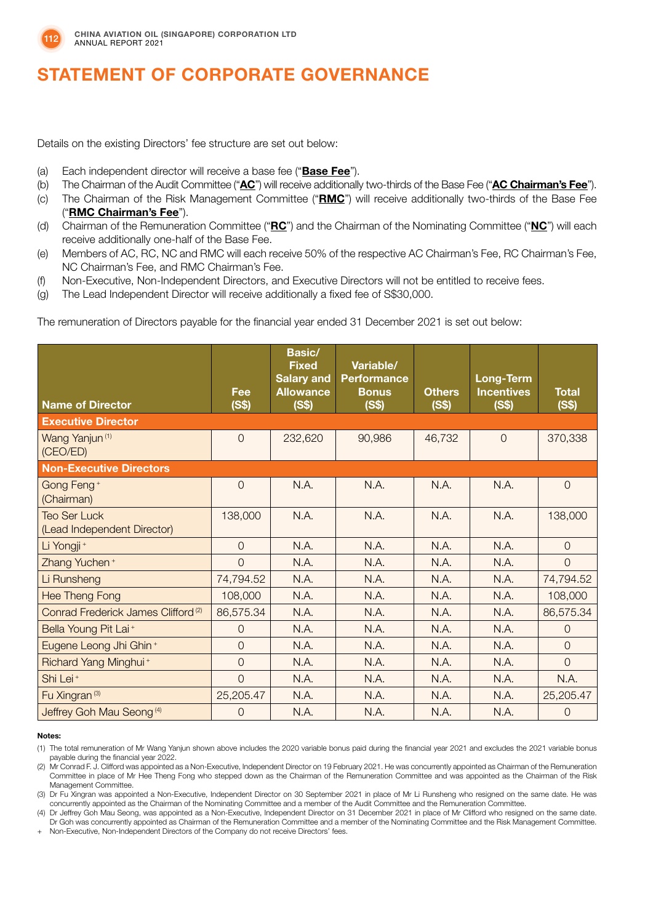

Details on the existing Directors' fee structure are set out below:

- (a) Each independent director will receive a base fee ("**Base Fee**").
- (b) The Chairman of the Audit Committee ("AC") will receive additionally two-thirds of the Base Fee ("AC Chairman's Fee").
- (c) The Chairman of the Risk Management Committee ("RMC") will receive additionally two-thirds of the Base Fee ("RMC Chairman's Fee").
- (d) Chairman of the Remuneration Committee (" $RC$ ") and the Chairman of the Nominating Committee (" $NC$ ") will each receive additionally one-half of the Base Fee.
- (e) Members of AC, RC, NC and RMC will each receive 50% of the respective AC Chairman's Fee, RC Chairman's Fee, NC Chairman's Fee, and RMC Chairman's Fee.
- (f) Non-Executive, Non-Independent Directors, and Executive Directors will not be entitled to receive fees.
- (g) The Lead Independent Director will receive additionally a fixed fee of S\$30,000.

The remuneration of Directors payable for the financial year ended 31 December 2021 is set out below:

| <b>Name of Director</b>                            | Fee<br>(S\$)   | Basic/<br><b>Fixed</b><br><b>Salary and</b><br><b>Allowance</b><br>(S\$) | Variable/<br><b>Performance</b><br><b>Bonus</b><br>(S\$) | <b>Others</b><br>(S\$) | <b>Long-Term</b><br><b>Incentives</b><br>(S\$) | <b>Total</b><br>(S\$) |
|----------------------------------------------------|----------------|--------------------------------------------------------------------------|----------------------------------------------------------|------------------------|------------------------------------------------|-----------------------|
| <b>Executive Director</b>                          |                |                                                                          |                                                          |                        |                                                |                       |
| Wang Yanjun <sup>(1)</sup><br>(CEO/ED)             | $\overline{0}$ | 232,620                                                                  | 90,986                                                   | 46,732                 | $\overline{O}$                                 | 370,338               |
| <b>Non-Executive Directors</b>                     |                |                                                                          |                                                          |                        |                                                |                       |
| Gong Feng <sup>+</sup><br>(Chairman)               | $\Omega$       | N.A.                                                                     | N.A.                                                     | N.A.                   | N.A.                                           | $\overline{0}$        |
| <b>Teo Ser Luck</b><br>(Lead Independent Director) | 138,000        | N.A.                                                                     | N.A.                                                     | N.A.                   | N.A.                                           | 138,000               |
| Li Yongji +                                        | $\overline{0}$ | N.A.                                                                     | N.A.                                                     | N.A.                   | N.A.                                           | $\overline{O}$        |
| Zhang Yuchen <sup>+</sup>                          | $\overline{O}$ | N.A.                                                                     | N.A.                                                     | N.A.                   | N.A.                                           | $\overline{0}$        |
| Li Runsheng                                        | 74,794.52      | N.A.                                                                     | N.A.                                                     | N.A.                   | N.A.                                           | 74,794.52             |
| <b>Hee Theng Fong</b>                              | 108,000        | N.A.                                                                     | N.A.                                                     | N.A.                   | N.A.                                           | 108,000               |
| Conrad Frederick James Clifford <sup>(2)</sup>     | 86,575.34      | N.A.                                                                     | N.A.                                                     | N.A.                   | N.A.                                           | 86,575.34             |
| Bella Young Pit Lai+                               | $\overline{O}$ | N.A.                                                                     | N.A.                                                     | N.A.                   | N.A.                                           | $\overline{O}$        |
| Eugene Leong Jhi Ghin+                             | $\overline{0}$ | N.A.                                                                     | N.A.                                                     | N.A.                   | N.A.                                           | $\overline{O}$        |
| Richard Yang Minghui+                              | $\overline{O}$ | N.A.                                                                     | N.A.                                                     | N.A.                   | N.A.                                           | $\overline{0}$        |
| Shi Lei <sup>+</sup>                               | $\overline{O}$ | N.A.                                                                     | N.A.                                                     | N.A.                   | N.A.                                           | N.A.                  |
| Fu Xingran <sup>(3)</sup>                          | 25,205.47      | N.A.                                                                     | N.A.                                                     | N.A.                   | N.A.                                           | 25,205.47             |
| Jeffrey Goh Mau Seong <sup>(4)</sup>               | 0              | N.A.                                                                     | N.A.                                                     | N.A.                   | N.A.                                           | $\overline{0}$        |

#### Notes:

<sup>(1)</sup> The total remuneration of Mr Wang Yanjun shown above includes the 2020 variable bonus paid during the financial year 2021 and excludes the 2021 variable bonus payable during the financial year 2022.

<sup>(2)</sup> Mr Conrad F. J. Clifford was appointed as a Non-Executive, Independent Director on 19 February 2021. He was concurrently appointed as Chairman of the Remuneration Committee in place of Mr Hee Theng Fong who stepped down as the Chairman of the Remuneration Committee and was appointed as the Chairman of the Risk Management Committee.

<sup>(3)</sup> Dr Fu Xingran was appointed a Non-Executive, Independent Director on 30 September 2021 in place of Mr Li Runsheng who resigned on the same date. He was concurrently appointed as the Chairman of the Nominating Committee and a member of the Audit Committee and the Remuneration Committee.

<sup>(4)</sup> Dr Jeffrey Goh Mau Seong, was appointed as a Non-Executive, Independent Director on 31 December 2021 in place of Mr Clifford who resigned on the same date. Dr Goh was concurrently appointed as Chairman of the Remuneration Committee and a member of the Nominating Committee and the Risk Management Committee.

<sup>+</sup> Non-Executive, Non-Independent Directors of the Company do not receive Directors' fees.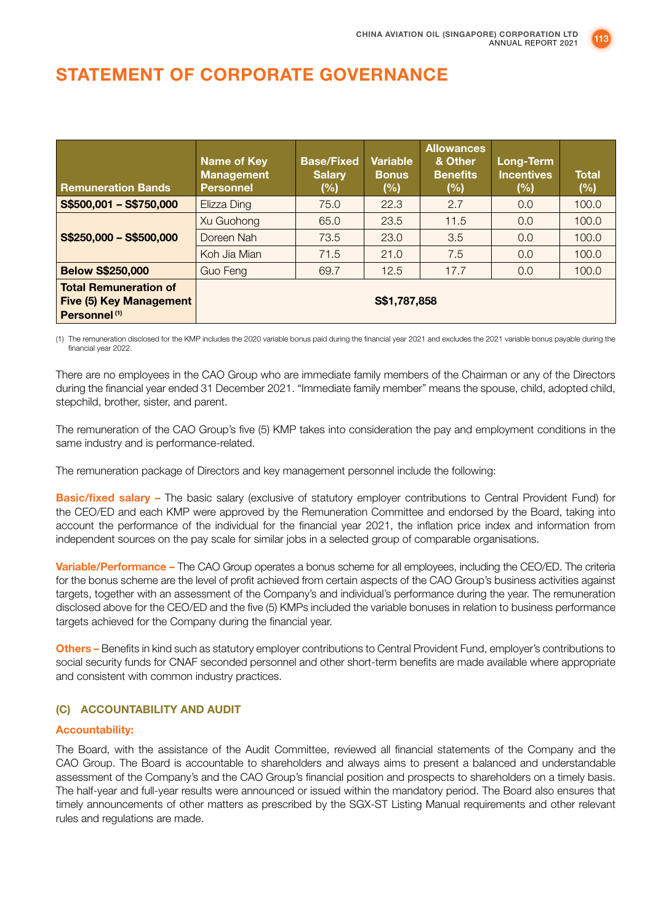| <b>Remuneration Bands</b>                                                                  | Name of Key<br><b>Management</b><br><b>Personnel</b> | <b>Base/Fixed</b><br><b>Salary</b><br>$(\%)$ | Variable<br><b>Bonus</b><br>(%) | <b>Allowances</b><br>& Other<br><b>Benefits</b><br>(%) | <b>Long-Term</b><br><b>Incentives</b><br>(%) | <b>Total</b><br>(%) |
|--------------------------------------------------------------------------------------------|------------------------------------------------------|----------------------------------------------|---------------------------------|--------------------------------------------------------|----------------------------------------------|---------------------|
| S\$500,001 - S\$750,000                                                                    | Elizza Ding                                          | 75.0                                         | 22.3                            | 2.7                                                    | 0.0                                          | 100.0               |
|                                                                                            | Xu Guohong                                           | 65.0                                         | 23.5                            | 11.5                                                   | 0.0                                          | 100.0               |
| S\$250,000 - S\$500,000                                                                    | Doreen Nah                                           | 73.5                                         | 23.0                            | 3.5                                                    | 0.0                                          | 100.0               |
|                                                                                            | Koh Jia Mian                                         | 71.5                                         | 21.0                            | 7.5                                                    | 0.0                                          | 100.0               |
| <b>Below S\$250,000</b>                                                                    | Guo Feng                                             | 69.7                                         | 12.5                            | 17.7                                                   | 0.0                                          | 100.0               |
| <b>Total Remuneration of</b><br><b>Five (5) Key Management</b><br>Personnel <sup>(1)</sup> |                                                      |                                              | S\$1,787,858                    |                                                        |                                              |                     |

(1) The remuneration disclosed for the KMP includes the 2020 variable bonus paid during the financial year 2021 and excludes the 2021 variable bonus payable during the financial year 2022.

There are no employees in the CAO Group who are immediate family members of the Chairman or any of the Directors during the financial year ended 31 December 2021. "Immediate family member" means the spouse, child, adopted child, stepchild, brother, sister, and parent.

The remuneration of the CAO Group's five (5) KMP takes into consideration the pay and employment conditions in the same industry and is performance-related.

The remuneration package of Directors and key management personnel include the following:

Basic/fixed salary – The basic salary (exclusive of statutory employer contributions to Central Provident Fund) for the CEO/ED and each KMP were approved by the Remuneration Committee and endorsed by the Board, taking into account the performance of the individual for the financial year 2021, the inflation price index and information from independent sources on the pay scale for similar jobs in a selected group of comparable organisations.

Variable/Performance - The CAO Group operates a bonus scheme for all employees, including the CEO/ED. The criteria for the bonus scheme are the level of profit achieved from certain aspects of the CAO Group's business activities against targets, together with an assessment of the Company's and individual's performance during the year. The remuneration disclosed above for the CEO/ED and the five (5) KMPs included the variable bonuses in relation to business performance targets achieved for the Company during the financial year.

Others – Benefits in kind such as statutory employer contributions to Central Provident Fund, employer's contributions to social security funds for CNAF seconded personnel and other short-term benefits are made available where appropriate and consistent with common industry practices.

### (C) ACCOUNTABILITY AND AUDIT

### Accountability:

The Board, with the assistance of the Audit Committee, reviewed all financial statements of the Company and the CAO Group. The Board is accountable to shareholders and always aims to present a balanced and understandable assessment of the Company's and the CAO Group's financial position and prospects to shareholders on a timely basis. The half-year and full-year results were announced or issued within the mandatory period. The Board also ensures that timely announcements of other matters as prescribed by the SGX-ST Listing Manual requirements and other relevant rules and regulations are made.

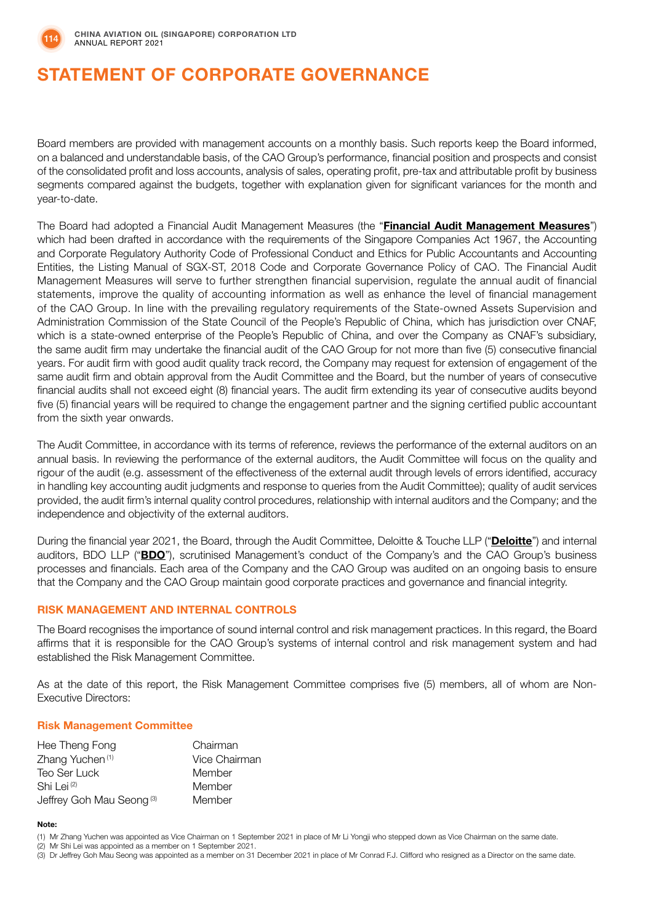

Board members are provided with management accounts on a monthly basis. Such reports keep the Board informed, on a balanced and understandable basis, of the CAO Group's performance, financial position and prospects and consist of the consolidated profit and loss accounts, analysis of sales, operating profit, pre-tax and attributable profit by business segments compared against the budgets, together with explanation given for significant variances for the month and year-to-date.

The Board had adopted a Financial Audit Management Measures (the "Financial Audit Management Measures") which had been drafted in accordance with the requirements of the Singapore Companies Act 1967, the Accounting and Corporate Regulatory Authority Code of Professional Conduct and Ethics for Public Accountants and Accounting Entities, the Listing Manual of SGX-ST, 2018 Code and Corporate Governance Policy of CAO. The Financial Audit Management Measures will serve to further strengthen financial supervision, regulate the annual audit of financial statements, improve the quality of accounting information as well as enhance the level of financial management of the CAO Group. In line with the prevailing regulatory requirements of the State-owned Assets Supervision and Administration Commission of the State Council of the People's Republic of China, which has jurisdiction over CNAF, which is a state-owned enterprise of the People's Republic of China, and over the Company as CNAF's subsidiary, the same audit firm may undertake the financial audit of the CAO Group for not more than five (5) consecutive financial years. For audit firm with good audit quality track record, the Company may request for extension of engagement of the same audit firm and obtain approval from the Audit Committee and the Board, but the number of years of consecutive financial audits shall not exceed eight (8) financial years. The audit firm extending its year of consecutive audits beyond five (5) financial years will be required to change the engagement partner and the signing certified public accountant from the sixth year onwards.

The Audit Committee, in accordance with its terms of reference, reviews the performance of the external auditors on an annual basis. In reviewing the performance of the external auditors, the Audit Committee will focus on the quality and rigour of the audit (e.g. assessment of the effectiveness of the external audit through levels of errors identified, accuracy in handling key accounting audit judgments and response to queries from the Audit Committee); quality of audit services provided, the audit firm's internal quality control procedures, relationship with internal auditors and the Company; and the independence and objectivity of the external auditors.

During the financial year 2021, the Board, through the Audit Committee, Deloitte & Touche LLP ("Deloitte") and internal auditors, BDO LLP ("**BDO**"), scrutinised Management's conduct of the Company's and the CAO Group's business processes and financials. Each area of the Company and the CAO Group was audited on an ongoing basis to ensure that the Company and the CAO Group maintain good corporate practices and governance and financial integrity.

### RISK MANAGEMENT AND INTERNAL CONTROLS

The Board recognises the importance of sound internal control and risk management practices. In this regard, the Board affirms that it is responsible for the CAO Group's systems of internal control and risk management system and had established the Risk Management Committee.

As at the date of this report, the Risk Management Committee comprises five (5) members, all of whom are Non-Executive Directors:

#### Risk Management Committee

| Hee Theng Fong                       | Chairman      |
|--------------------------------------|---------------|
| Zhang Yuchen <sup>(1)</sup>          | Vice Chairman |
| Teo Ser Luck                         | Member        |
| Shi Lei <sup>(2)</sup>               | Member        |
| Jeffrey Goh Mau Seong <sup>(3)</sup> | Member        |

Note:

<sup>(1)</sup> Mr Zhang Yuchen was appointed as Vice Chairman on 1 September 2021 in place of Mr Li Yongji who stepped down as Vice Chairman on the same date.

<sup>(2)</sup> Mr Shi Lei was appointed as a member on 1 September 2021.

<sup>(3)</sup> Dr Jeffrey Goh Mau Seong was appointed as a member on 31 December 2021 in place of Mr Conrad F.J. Clifford who resigned as a Director on the same date.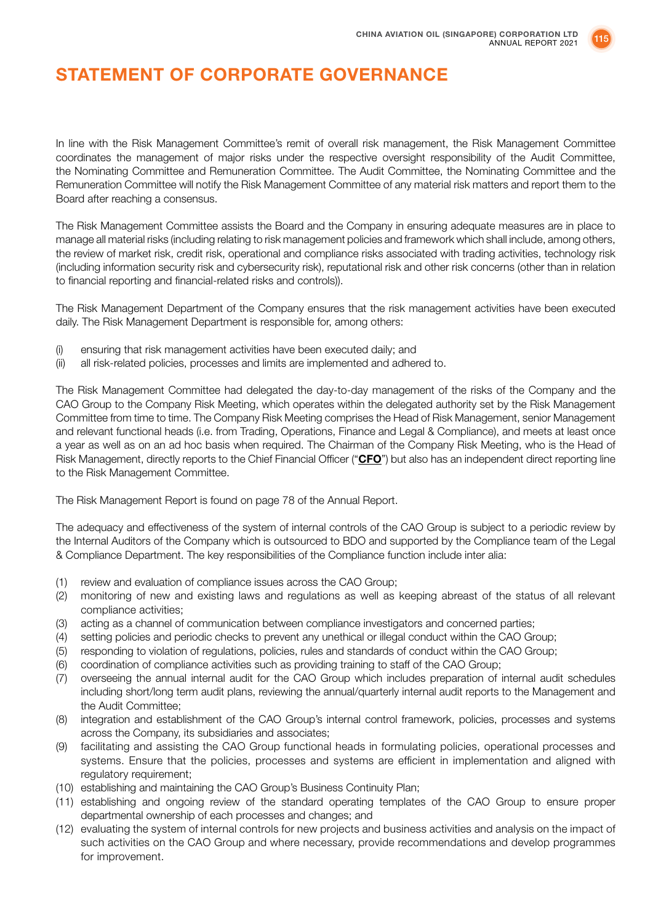

In line with the Risk Management Committee's remit of overall risk management, the Risk Management Committee coordinates the management of major risks under the respective oversight responsibility of the Audit Committee, the Nominating Committee and Remuneration Committee. The Audit Committee, the Nominating Committee and the Remuneration Committee will notify the Risk Management Committee of any material risk matters and report them to the Board after reaching a consensus.

The Risk Management Committee assists the Board and the Company in ensuring adequate measures are in place to manage all material risks (including relating to risk management policies and framework which shall include, among others, the review of market risk, credit risk, operational and compliance risks associated with trading activities, technology risk (including information security risk and cybersecurity risk), reputational risk and other risk concerns (other than in relation to financial reporting and financial-related risks and controls)).

The Risk Management Department of the Company ensures that the risk management activities have been executed daily. The Risk Management Department is responsible for, among others:

- (i) ensuring that risk management activities have been executed daily; and
- (ii) all risk-related policies, processes and limits are implemented and adhered to.

The Risk Management Committee had delegated the day-to-day management of the risks of the Company and the CAO Group to the Company Risk Meeting, which operates within the delegated authority set by the Risk Management Committee from time to time. The Company Risk Meeting comprises the Head of Risk Management, senior Management and relevant functional heads (i.e. from Trading, Operations, Finance and Legal & Compliance), and meets at least once a year as well as on an ad hoc basis when required. The Chairman of the Company Risk Meeting, who is the Head of Risk Management, directly reports to the Chief Financial Officer ("CFO") but also has an independent direct reporting line to the Risk Management Committee.

The Risk Management Report is found on page 78 of the Annual Report.

The adequacy and effectiveness of the system of internal controls of the CAO Group is subject to a periodic review by the Internal Auditors of the Company which is outsourced to BDO and supported by the Compliance team of the Legal & Compliance Department. The key responsibilities of the Compliance function include inter alia:

- (1) review and evaluation of compliance issues across the CAO Group;
- (2) monitoring of new and existing laws and regulations as well as keeping abreast of the status of all relevant compliance activities;
- (3) acting as a channel of communication between compliance investigators and concerned parties;
- (4) setting policies and periodic checks to prevent any unethical or illegal conduct within the CAO Group;
- (5) responding to violation of regulations, policies, rules and standards of conduct within the CAO Group;
- (6) coordination of compliance activities such as providing training to staff of the CAO Group;
- (7) overseeing the annual internal audit for the CAO Group which includes preparation of internal audit schedules including short/long term audit plans, reviewing the annual/quarterly internal audit reports to the Management and the Audit Committee;
- (8) integration and establishment of the CAO Group's internal control framework, policies, processes and systems across the Company, its subsidiaries and associates;
- (9) facilitating and assisting the CAO Group functional heads in formulating policies, operational processes and systems. Ensure that the policies, processes and systems are efficient in implementation and aligned with regulatory requirement;
- (10) establishing and maintaining the CAO Group's Business Continuity Plan;
- (11) establishing and ongoing review of the standard operating templates of the CAO Group to ensure proper departmental ownership of each processes and changes; and
- (12) evaluating the system of internal controls for new projects and business activities and analysis on the impact of such activities on the CAO Group and where necessary, provide recommendations and develop programmes for improvement.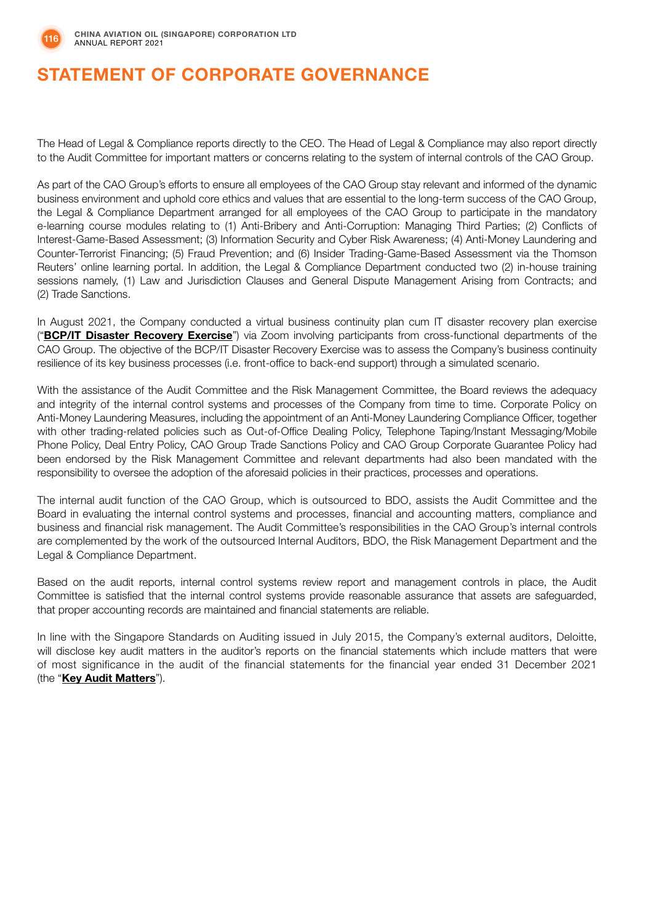

The Head of Legal & Compliance reports directly to the CEO. The Head of Legal & Compliance may also report directly to the Audit Committee for important matters or concerns relating to the system of internal controls of the CAO Group.

As part of the CAO Group's efforts to ensure all employees of the CAO Group stay relevant and informed of the dynamic business environment and uphold core ethics and values that are essential to the long-term success of the CAO Group, the Legal & Compliance Department arranged for all employees of the CAO Group to participate in the mandatory e-learning course modules relating to (1) Anti-Bribery and Anti-Corruption: Managing Third Parties; (2) Conflicts of Interest-Game-Based Assessment; (3) Information Security and Cyber Risk Awareness; (4) Anti-Money Laundering and Counter-Terrorist Financing; (5) Fraud Prevention; and (6) Insider Trading-Game-Based Assessment via the Thomson Reuters' online learning portal. In addition, the Legal & Compliance Department conducted two (2) in-house training sessions namely, (1) Law and Jurisdiction Clauses and General Dispute Management Arising from Contracts; and (2) Trade Sanctions.

In August 2021, the Company conducted a virtual business continuity plan cum IT disaster recovery plan exercise ("BCP/IT Disaster Recovery Exercise") via Zoom involving participants from cross-functional departments of the CAO Group. The objective of the BCP/IT Disaster Recovery Exercise was to assess the Company's business continuity resilience of its key business processes (i.e. front-office to back-end support) through a simulated scenario.

With the assistance of the Audit Committee and the Risk Management Committee, the Board reviews the adequacy and integrity of the internal control systems and processes of the Company from time to time. Corporate Policy on Anti-Money Laundering Measures, including the appointment of an Anti-Money Laundering Compliance Officer, together with other trading-related policies such as Out-of-Office Dealing Policy, Telephone Taping/Instant Messaging/Mobile Phone Policy, Deal Entry Policy, CAO Group Trade Sanctions Policy and CAO Group Corporate Guarantee Policy had been endorsed by the Risk Management Committee and relevant departments had also been mandated with the responsibility to oversee the adoption of the aforesaid policies in their practices, processes and operations.

The internal audit function of the CAO Group, which is outsourced to BDO, assists the Audit Committee and the Board in evaluating the internal control systems and processes, financial and accounting matters, compliance and business and financial risk management. The Audit Committee's responsibilities in the CAO Group's internal controls are complemented by the work of the outsourced Internal Auditors, BDO, the Risk Management Department and the Legal & Compliance Department.

Based on the audit reports, internal control systems review report and management controls in place, the Audit Committee is satisfied that the internal control systems provide reasonable assurance that assets are safeguarded, that proper accounting records are maintained and financial statements are reliable.

In line with the Singapore Standards on Auditing issued in July 2015, the Company's external auditors, Deloitte, will disclose key audit matters in the auditor's reports on the financial statements which include matters that were of most significance in the audit of the financial statements for the financial year ended 31 December 2021 (the "Key Audit Matters").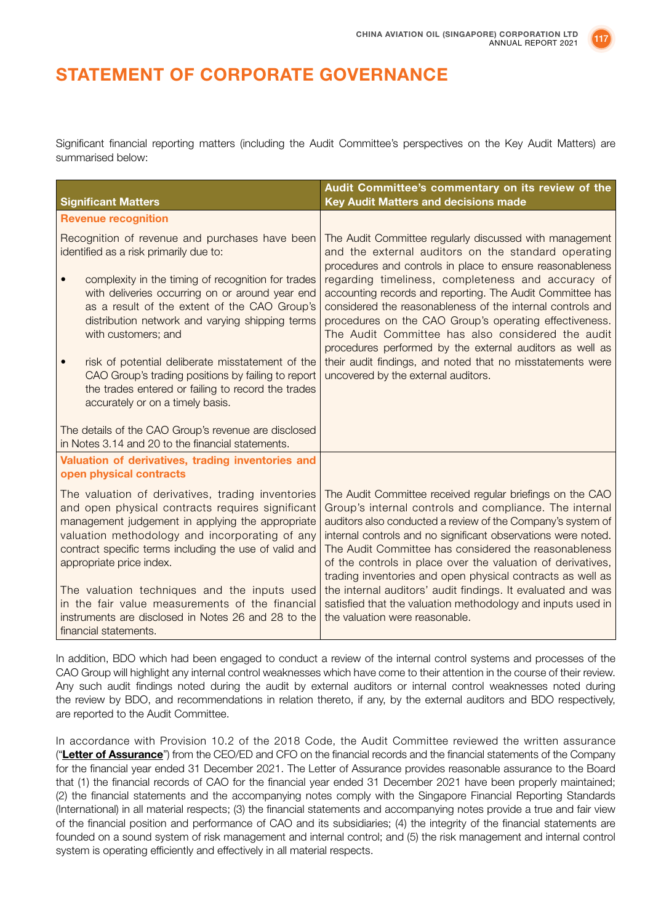Significant financial reporting matters (including the Audit Committee's perspectives on the Key Audit Matters) are summarised below:

| <b>Significant Matters</b>                                                                                                                                                                                                                                                                                                                        | Audit Committee's commentary on its review of the<br><b>Key Audit Matters and decisions made</b>                                                                                                                                                                                                                                                                                                                                                                                                         |  |  |
|---------------------------------------------------------------------------------------------------------------------------------------------------------------------------------------------------------------------------------------------------------------------------------------------------------------------------------------------------|----------------------------------------------------------------------------------------------------------------------------------------------------------------------------------------------------------------------------------------------------------------------------------------------------------------------------------------------------------------------------------------------------------------------------------------------------------------------------------------------------------|--|--|
| <b>Revenue recognition</b>                                                                                                                                                                                                                                                                                                                        |                                                                                                                                                                                                                                                                                                                                                                                                                                                                                                          |  |  |
| Recognition of revenue and purchases have been<br>identified as a risk primarily due to:                                                                                                                                                                                                                                                          | The Audit Committee regularly discussed with management<br>and the external auditors on the standard operating<br>procedures and controls in place to ensure reasonableness                                                                                                                                                                                                                                                                                                                              |  |  |
| complexity in the timing of recognition for trades<br>with deliveries occurring on or around year end<br>as a result of the extent of the CAO Group's<br>distribution network and varying shipping terms<br>with customers; and                                                                                                                   | regarding timeliness, completeness and accuracy of<br>accounting records and reporting. The Audit Committee has<br>considered the reasonableness of the internal controls and<br>procedures on the CAO Group's operating effectiveness.<br>The Audit Committee has also considered the audit<br>procedures performed by the external auditors as well as                                                                                                                                                 |  |  |
| risk of potential deliberate misstatement of the<br>$\bullet$<br>CAO Group's trading positions by failing to report<br>the trades entered or failing to record the trades<br>accurately or on a timely basis.                                                                                                                                     | their audit findings, and noted that no misstatements were<br>uncovered by the external auditors.                                                                                                                                                                                                                                                                                                                                                                                                        |  |  |
| The details of the CAO Group's revenue are disclosed<br>in Notes 3.14 and 20 to the financial statements.                                                                                                                                                                                                                                         |                                                                                                                                                                                                                                                                                                                                                                                                                                                                                                          |  |  |
| Valuation of derivatives, trading inventories and<br>open physical contracts                                                                                                                                                                                                                                                                      |                                                                                                                                                                                                                                                                                                                                                                                                                                                                                                          |  |  |
| The valuation of derivatives, trading inventories<br>and open physical contracts requires significant<br>management judgement in applying the appropriate<br>valuation methodology and incorporating of any<br>contract specific terms including the use of valid and<br>appropriate price index.<br>The valuation techniques and the inputs used | The Audit Committee received regular briefings on the CAO<br>Group's internal controls and compliance. The internal<br>auditors also conducted a review of the Company's system of<br>internal controls and no significant observations were noted.<br>The Audit Committee has considered the reasonableness<br>of the controls in place over the valuation of derivatives,<br>trading inventories and open physical contracts as well as<br>the internal auditors' audit findings. It evaluated and was |  |  |
| in the fair value measurements of the financial<br>instruments are disclosed in Notes 26 and 28 to the<br>financial statements.                                                                                                                                                                                                                   | satisfied that the valuation methodology and inputs used in<br>the valuation were reasonable.                                                                                                                                                                                                                                                                                                                                                                                                            |  |  |

In addition, BDO which had been engaged to conduct a review of the internal control systems and processes of the CAO Group will highlight any internal control weaknesses which have come to their attention in the course of their review. Any such audit findings noted during the audit by external auditors or internal control weaknesses noted during the review by BDO, and recommendations in relation thereto, if any, by the external auditors and BDO respectively, are reported to the Audit Committee.

In accordance with Provision 10.2 of the 2018 Code, the Audit Committee reviewed the written assurance ("Letter of Assurance") from the CEO/ED and CFO on the financial records and the financial statements of the Company for the financial year ended 31 December 2021. The Letter of Assurance provides reasonable assurance to the Board that (1) the financial records of CAO for the financial year ended 31 December 2021 have been properly maintained; (2) the financial statements and the accompanying notes comply with the Singapore Financial Reporting Standards (International) in all material respects; (3) the financial statements and accompanying notes provide a true and fair view of the financial position and performance of CAO and its subsidiaries; (4) the integrity of the financial statements are founded on a sound system of risk management and internal control; and (5) the risk management and internal control system is operating efficiently and effectively in all material respects.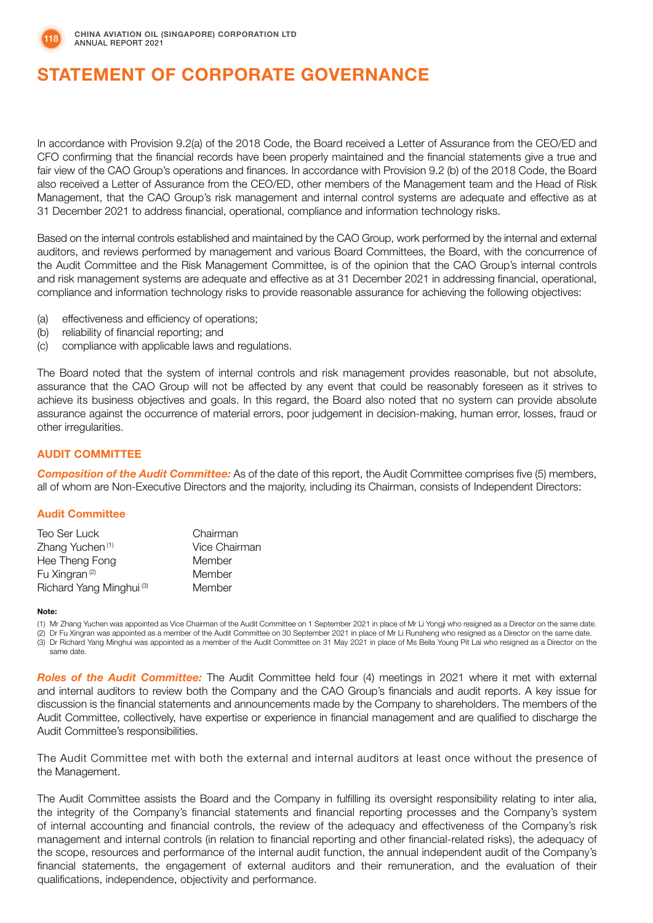

In accordance with Provision 9.2(a) of the 2018 Code, the Board received a Letter of Assurance from the CEO/ED and CFO confirming that the financial records have been properly maintained and the financial statements give a true and fair view of the CAO Group's operations and finances. In accordance with Provision 9.2 (b) of the 2018 Code, the Board also received a Letter of Assurance from the CEO/ED, other members of the Management team and the Head of Risk Management, that the CAO Group's risk management and internal control systems are adequate and effective as at 31 December 2021 to address financial, operational, compliance and information technology risks.

Based on the internal controls established and maintained by the CAO Group, work performed by the internal and external auditors, and reviews performed by management and various Board Committees, the Board, with the concurrence of the Audit Committee and the Risk Management Committee, is of the opinion that the CAO Group's internal controls and risk management systems are adequate and effective as at 31 December 2021 in addressing financial, operational, compliance and information technology risks to provide reasonable assurance for achieving the following objectives:

- (a) effectiveness and efficiency of operations;
- (b) reliability of financial reporting; and
- (c) compliance with applicable laws and regulations.

The Board noted that the system of internal controls and risk management provides reasonable, but not absolute, assurance that the CAO Group will not be affected by any event that could be reasonably foreseen as it strives to achieve its business objectives and goals. In this regard, the Board also noted that no system can provide absolute assurance against the occurrence of material errors, poor judgement in decision-making, human error, losses, fraud or other irregularities.

### AUDIT COMMITTEE

**Composition of the Audit Committee:** As of the date of this report, the Audit Committee comprises five (5) members, all of whom are Non-Executive Directors and the majority, including its Chairman, consists of Independent Directors:

### Audit Committee

| Teo Ser Luck                        | Chairman      |
|-------------------------------------|---------------|
| Zhang Yuchen <sup>(1)</sup>         | Vice Chairman |
| Hee Theng Fong                      | Member        |
| Fu Xingran <sup>(2)</sup>           | Member        |
| Richard Yang Minghui <sup>(3)</sup> | Member        |

#### Note:

- (1) Mr Zhang Yuchen was appointed as Vice Chairman of the Audit Committee on 1 September 2021 in place of Mr Li Yongji who resigned as a Director on the same date.
- (2) Dr Fu Xingran was appointed as a member of the Audit Committee on 30 September 2021 in place of Mr Li Runsheng who resigned as a Director on the same date. (3) Dr Richard Yang Minghui was appointed as a member of the Audit Committee on 31 May 2021 in place of Ms Bella Young Pit Lai who resigned as a Director on the same date.

*Roles of the Audit Committee:* The Audit Committee held four (4) meetings in 2021 where it met with external and internal auditors to review both the Company and the CAO Group's financials and audit reports. A key issue for discussion is the financial statements and announcements made by the Company to shareholders. The members of the Audit Committee, collectively, have expertise or experience in financial management and are qualified to discharge the Audit Committee's responsibilities.

The Audit Committee met with both the external and internal auditors at least once without the presence of the Management.

The Audit Committee assists the Board and the Company in fulfilling its oversight responsibility relating to inter alia, the integrity of the Company's financial statements and financial reporting processes and the Company's system of internal accounting and financial controls, the review of the adequacy and effectiveness of the Company's risk management and internal controls (in relation to financial reporting and other financial-related risks), the adequacy of the scope, resources and performance of the internal audit function, the annual independent audit of the Company's financial statements, the engagement of external auditors and their remuneration, and the evaluation of their qualifications, independence, objectivity and performance.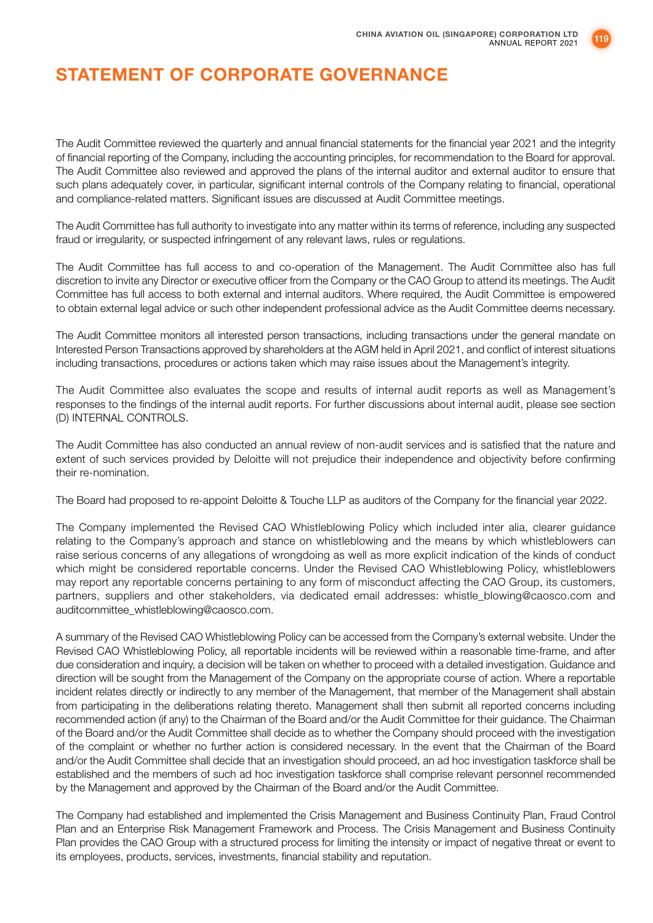

The Audit Committee reviewed the quarterly and annual financial statements for the financial year 2021 and the integrity of financial reporting of the Company, including the accounting principles, for recommendation to the Board for approval. The Audit Committee also reviewed and approved the plans of the internal auditor and external auditor to ensure that such plans adequately cover, in particular, significant internal controls of the Company relating to financial, operational and compliance-related matters. Significant issues are discussed at Audit Committee meetings.

The Audit Committee has full authority to investigate into any matter within its terms of reference, including any suspected fraud or irregularity, or suspected infringement of any relevant laws, rules or regulations.

The Audit Committee has full access to and co-operation of the Management. The Audit Committee also has full discretion to invite any Director or executive officer from the Company or the CAO Group to attend its meetings. The Audit Committee has full access to both external and internal auditors. Where required, the Audit Committee is empowered to obtain external legal advice or such other independent professional advice as the Audit Committee deems necessary.

The Audit Committee monitors all interested person transactions, including transactions under the general mandate on Interested Person Transactions approved by shareholders at the AGM held in April 2021, and conflict of interest situations including transactions, procedures or actions taken which may raise issues about the Management's integrity.

The Audit Committee also evaluates the scope and results of internal audit reports as well as Management's responses to the findings of the internal audit reports. For further discussions about internal audit, please see section (D) INTERNAL CONTROLS.

The Audit Committee has also conducted an annual review of non-audit services and is satisfied that the nature and extent of such services provided by Deloitte will not prejudice their independence and objectivity before confirming their re-nomination.

The Board had proposed to re-appoint Deloitte & Touche LLP as auditors of the Company for the financial year 2022.

The Company implemented the Revised CAO Whistleblowing Policy which included inter alia, clearer guidance relating to the Company's approach and stance on whistleblowing and the means by which whistleblowers can raise serious concerns of any allegations of wrongdoing as well as more explicit indication of the kinds of conduct which might be considered reportable concerns. Under the Revised CAO Whistleblowing Policy, whistleblowers may report any reportable concerns pertaining to any form of misconduct affecting the CAO Group, its customers, partners, suppliers and other stakeholders, via dedicated email addresses: whistle blowing@caosco.com and [auditcommittee\\_whistleblowing@caosco.com.](mailto:auditcommittee_whistleblowing%40caosco.com?subject=)

A summary of the Revised CAO Whistleblowing Policy can be accessed from the Company's external website. Under the Revised CAO Whistleblowing Policy, all reportable incidents will be reviewed within a reasonable time-frame, and after due consideration and inquiry, a decision will be taken on whether to proceed with a detailed investigation. Guidance and direction will be sought from the Management of the Company on the appropriate course of action. Where a reportable incident relates directly or indirectly to any member of the Management, that member of the Management shall abstain from participating in the deliberations relating thereto. Management shall then submit all reported concerns including recommended action (if any) to the Chairman of the Board and/or the Audit Committee for their guidance. The Chairman of the Board and/or the Audit Committee shall decide as to whether the Company should proceed with the investigation of the complaint or whether no further action is considered necessary. In the event that the Chairman of the Board and/or the Audit Committee shall decide that an investigation should proceed, an ad hoc investigation taskforce shall be established and the members of such ad hoc investigation taskforce shall comprise relevant personnel recommended by the Management and approved by the Chairman of the Board and/or the Audit Committee.

The Company had established and implemented the Crisis Management and Business Continuity Plan, Fraud Control Plan and an Enterprise Risk Management Framework and Process. The Crisis Management and Business Continuity Plan provides the CAO Group with a structured process for limiting the intensity or impact of negative threat or event to its employees, products, services, investments, financial stability and reputation.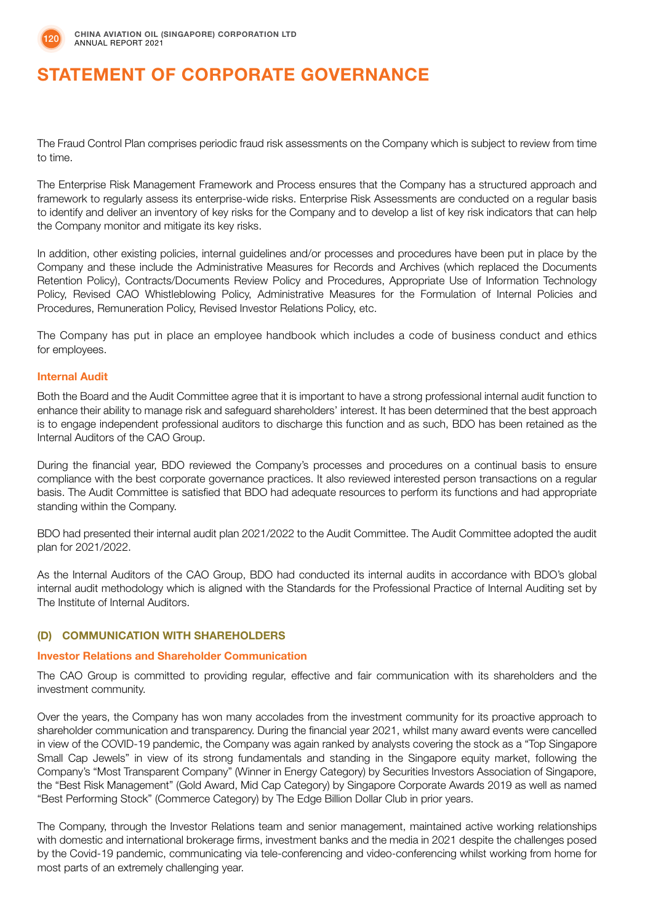

The Fraud Control Plan comprises periodic fraud risk assessments on the Company which is subject to review from time to time.

The Enterprise Risk Management Framework and Process ensures that the Company has a structured approach and framework to regularly assess its enterprise-wide risks. Enterprise Risk Assessments are conducted on a regular basis to identify and deliver an inventory of key risks for the Company and to develop a list of key risk indicators that can help the Company monitor and mitigate its key risks.

In addition, other existing policies, internal guidelines and/or processes and procedures have been put in place by the Company and these include the Administrative Measures for Records and Archives (which replaced the Documents Retention Policy), Contracts/Documents Review Policy and Procedures, Appropriate Use of Information Technology Policy, Revised CAO Whistleblowing Policy, Administrative Measures for the Formulation of Internal Policies and Procedures, Remuneration Policy, Revised Investor Relations Policy, etc.

The Company has put in place an employee handbook which includes a code of business conduct and ethics for employees.

#### Internal Audit

Both the Board and the Audit Committee agree that it is important to have a strong professional internal audit function to enhance their ability to manage risk and safeguard shareholders' interest. It has been determined that the best approach is to engage independent professional auditors to discharge this function and as such, BDO has been retained as the Internal Auditors of the CAO Group.

During the financial year, BDO reviewed the Company's processes and procedures on a continual basis to ensure compliance with the best corporate governance practices. It also reviewed interested person transactions on a regular basis. The Audit Committee is satisfied that BDO had adequate resources to perform its functions and had appropriate standing within the Company.

BDO had presented their internal audit plan 2021/2022 to the Audit Committee. The Audit Committee adopted the audit plan for 2021/2022.

As the Internal Auditors of the CAO Group, BDO had conducted its internal audits in accordance with BDO's global internal audit methodology which is aligned with the Standards for the Professional Practice of Internal Auditing set by The Institute of Internal Auditors.

### (D) COMMUNICATION WITH SHAREHOLDERS

#### Investor Relations and Shareholder Communication

The CAO Group is committed to providing regular, effective and fair communication with its shareholders and the investment community.

Over the years, the Company has won many accolades from the investment community for its proactive approach to shareholder communication and transparency. During the financial year 2021, whilst many award events were cancelled in view of the COVID-19 pandemic, the Company was again ranked by analysts covering the stock as a "Top Singapore Small Cap Jewels" in view of its strong fundamentals and standing in the Singapore equity market, following the Company's "Most Transparent Company" (Winner in Energy Category) by Securities Investors Association of Singapore, the "Best Risk Management" (Gold Award, Mid Cap Category) by Singapore Corporate Awards 2019 as well as named "Best Performing Stock" (Commerce Category) by The Edge Billion Dollar Club in prior years.

The Company, through the Investor Relations team and senior management, maintained active working relationships with domestic and international brokerage firms, investment banks and the media in 2021 despite the challenges posed by the Covid-19 pandemic, communicating via tele-conferencing and video-conferencing whilst working from home for most parts of an extremely challenging year.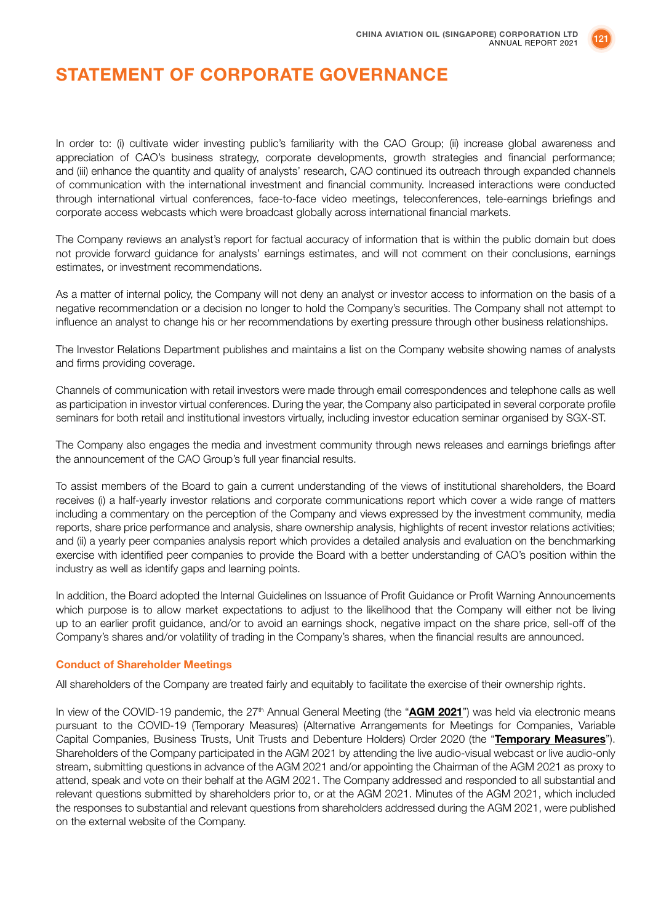

In order to: (i) cultivate wider investing public's familiarity with the CAO Group; (ii) increase global awareness and appreciation of CAO's business strategy, corporate developments, growth strategies and financial performance; and (iii) enhance the quantity and quality of analysts' research, CAO continued its outreach through expanded channels of communication with the international investment and financial community. Increased interactions were conducted through international virtual conferences, face-to-face video meetings, teleconferences, tele-earnings briefings and corporate access webcasts which were broadcast globally across international financial markets.

The Company reviews an analyst's report for factual accuracy of information that is within the public domain but does not provide forward guidance for analysts' earnings estimates, and will not comment on their conclusions, earnings estimates, or investment recommendations.

As a matter of internal policy, the Company will not deny an analyst or investor access to information on the basis of a negative recommendation or a decision no longer to hold the Company's securities. The Company shall not attempt to influence an analyst to change his or her recommendations by exerting pressure through other business relationships.

The Investor Relations Department publishes and maintains a list on the Company website showing names of analysts and firms providing coverage.

Channels of communication with retail investors were made through email correspondences and telephone calls as well as participation in investor virtual conferences. During the year, the Company also participated in several corporate profile seminars for both retail and institutional investors virtually, including investor education seminar organised by SGX-ST.

The Company also engages the media and investment community through news releases and earnings briefings after the announcement of the CAO Group's full year financial results.

To assist members of the Board to gain a current understanding of the views of institutional shareholders, the Board receives (i) a half-yearly investor relations and corporate communications report which cover a wide range of matters including a commentary on the perception of the Company and views expressed by the investment community, media reports, share price performance and analysis, share ownership analysis, highlights of recent investor relations activities; and (ii) a yearly peer companies analysis report which provides a detailed analysis and evaluation on the benchmarking exercise with identified peer companies to provide the Board with a better understanding of CAO's position within the industry as well as identify gaps and learning points.

In addition, the Board adopted the Internal Guidelines on Issuance of Profit Guidance or Profit Warning Announcements which purpose is to allow market expectations to adjust to the likelihood that the Company will either not be living up to an earlier profit guidance, and/or to avoid an earnings shock, negative impact on the share price, sell-off of the Company's shares and/or volatility of trading in the Company's shares, when the financial results are announced.

### Conduct of Shareholder Meetings

All shareholders of the Company are treated fairly and equitably to facilitate the exercise of their ownership rights.

In view of the COVID-19 pandemic, the  $27<sup>th</sup>$  Annual General Meeting (the "AGM 2021") was held via electronic means pursuant to the COVID-19 (Temporary Measures) (Alternative Arrangements for Meetings for Companies, Variable Capital Companies, Business Trusts, Unit Trusts and Debenture Holders) Order 2020 (the "Temporary Measures"). Shareholders of the Company participated in the AGM 2021 by attending the live audio-visual webcast or live audio-only stream, submitting questions in advance of the AGM 2021 and/or appointing the Chairman of the AGM 2021 as proxy to attend, speak and vote on their behalf at the AGM 2021. The Company addressed and responded to all substantial and relevant questions submitted by shareholders prior to, or at the AGM 2021. Minutes of the AGM 2021, which included the responses to substantial and relevant questions from shareholders addressed during the AGM 2021, were published on the external website of the Company.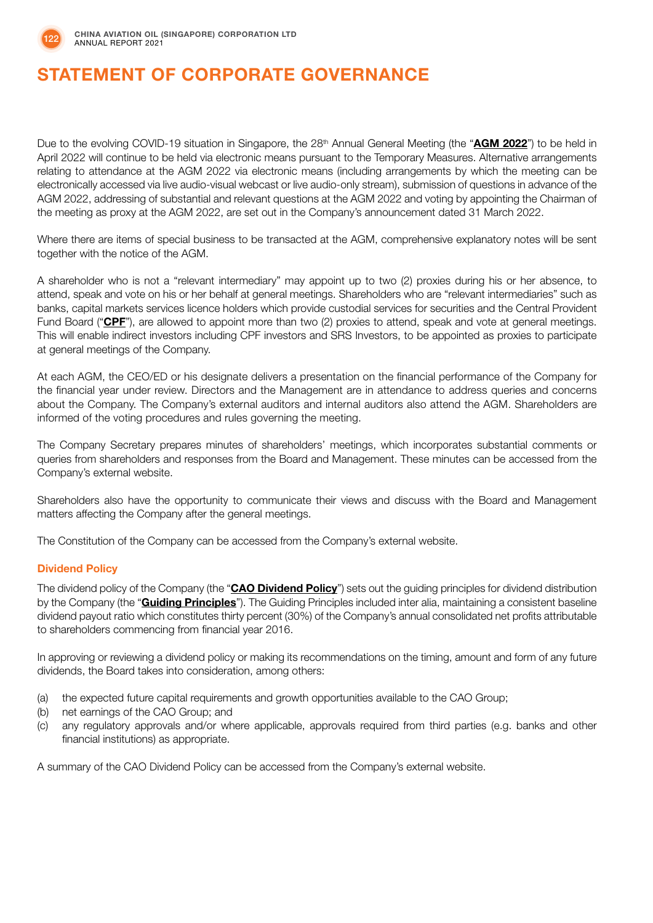

Due to the evolving COVID-19 situation in Singapore, the 28<sup>th</sup> Annual General Meeting (the "AGM 2022") to be held in April 2022 will continue to be held via electronic means pursuant to the Temporary Measures. Alternative arrangements relating to attendance at the AGM 2022 via electronic means (including arrangements by which the meeting can be electronically accessed via live audio-visual webcast or live audio-only stream), submission of questions in advance of the AGM 2022, addressing of substantial and relevant questions at the AGM 2022 and voting by appointing the Chairman of the meeting as proxy at the AGM 2022, are set out in the Company's announcement dated 31 March 2022.

Where there are items of special business to be transacted at the AGM, comprehensive explanatory notes will be sent together with the notice of the AGM.

A shareholder who is not a "relevant intermediary" may appoint up to two (2) proxies during his or her absence, to attend, speak and vote on his or her behalf at general meetings. Shareholders who are "relevant intermediaries" such as banks, capital markets services licence holders which provide custodial services for securities and the Central Provident Fund Board ("CPF"), are allowed to appoint more than two (2) proxies to attend, speak and vote at general meetings. This will enable indirect investors including CPF investors and SRS Investors, to be appointed as proxies to participate at general meetings of the Company.

At each AGM, the CEO/ED or his designate delivers a presentation on the financial performance of the Company for the financial year under review. Directors and the Management are in attendance to address queries and concerns about the Company. The Company's external auditors and internal auditors also attend the AGM. Shareholders are informed of the voting procedures and rules governing the meeting.

The Company Secretary prepares minutes of shareholders' meetings, which incorporates substantial comments or queries from shareholders and responses from the Board and Management. These minutes can be accessed from the Company's external website.

Shareholders also have the opportunity to communicate their views and discuss with the Board and Management matters affecting the Company after the general meetings.

The Constitution of the Company can be accessed from the Company's external website.

### Dividend Policy

The dividend policy of the Company (the "CAO Dividend Policy") sets out the guiding principles for dividend distribution by the Company (the "**Guiding Principles**"). The Guiding Principles included inter alia, maintaining a consistent baseline dividend payout ratio which constitutes thirty percent (30%) of the Company's annual consolidated net profits attributable to shareholders commencing from financial year 2016.

In approving or reviewing a dividend policy or making its recommendations on the timing, amount and form of any future dividends, the Board takes into consideration, among others:

- (a) the expected future capital requirements and growth opportunities available to the CAO Group;
- (b) net earnings of the CAO Group; and
- (c) any regulatory approvals and/or where applicable, approvals required from third parties (e.g. banks and other financial institutions) as appropriate.

A summary of the CAO Dividend Policy can be accessed from the Company's external website.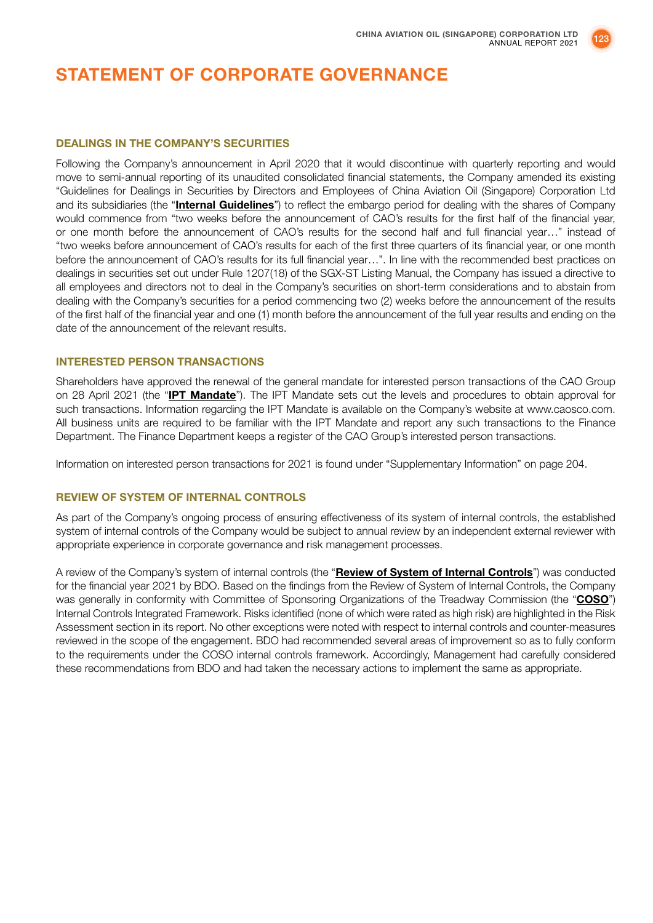

### DEALINGS IN THE COMPANY'S SECURITIES

Following the Company's announcement in April 2020 that it would discontinue with quarterly reporting and would move to semi-annual reporting of its unaudited consolidated financial statements, the Company amended its existing "Guidelines for Dealings in Securities by Directors and Employees of China Aviation Oil (Singapore) Corporation Ltd and its subsidiaries (the "**Internal Guidelines**") to reflect the embargo period for dealing with the shares of Company would commence from "two weeks before the announcement of CAO's results for the first half of the financial year, or one month before the announcement of CAO's results for the second half and full financial year…" instead of "two weeks before announcement of CAO's results for each of the first three quarters of its financial year, or one month before the announcement of CAO's results for its full financial year…". In line with the recommended best practices on dealings in securities set out under Rule 1207(18) of the SGX-ST Listing Manual, the Company has issued a directive to all employees and directors not to deal in the Company's securities on short-term considerations and to abstain from dealing with the Company's securities for a period commencing two (2) weeks before the announcement of the results of the first half of the financial year and one (1) month before the announcement of the full year results and ending on the date of the announcement of the relevant results.

### INTERESTED PERSON TRANSACTIONS

Shareholders have approved the renewal of the general mandate for interested person transactions of the CAO Group on 28 April 2021 (the "IPT Mandate"). The IPT Mandate sets out the levels and procedures to obtain approval for such transactions. Information regarding the IPT Mandate is available on the Company's website at [www.caosco.com](http://www.caosco.com). All business units are required to be familiar with the IPT Mandate and report any such transactions to the Finance Department. The Finance Department keeps a register of the CAO Group's interested person transactions.

Information on interested person transactions for 2021 is found under "Supplementary Information" on page 204.

### REVIEW OF SYSTEM OF INTERNAL CONTROLS

As part of the Company's ongoing process of ensuring effectiveness of its system of internal controls, the established system of internal controls of the Company would be subject to annual review by an independent external reviewer with appropriate experience in corporate governance and risk management processes.

A review of the Company's system of internal controls (the "Review of System of Internal Controls") was conducted for the financial year 2021 by BDO. Based on the findings from the Review of System of Internal Controls, the Company was generally in conformity with Committee of Sponsoring Organizations of the Treadway Commission (the "COSO") Internal Controls Integrated Framework. Risks identified (none of which were rated as high risk) are highlighted in the Risk Assessment section in its report. No other exceptions were noted with respect to internal controls and counter-measures reviewed in the scope of the engagement. BDO had recommended several areas of improvement so as to fully conform to the requirements under the COSO internal controls framework. Accordingly, Management had carefully considered these recommendations from BDO and had taken the necessary actions to implement the same as appropriate.